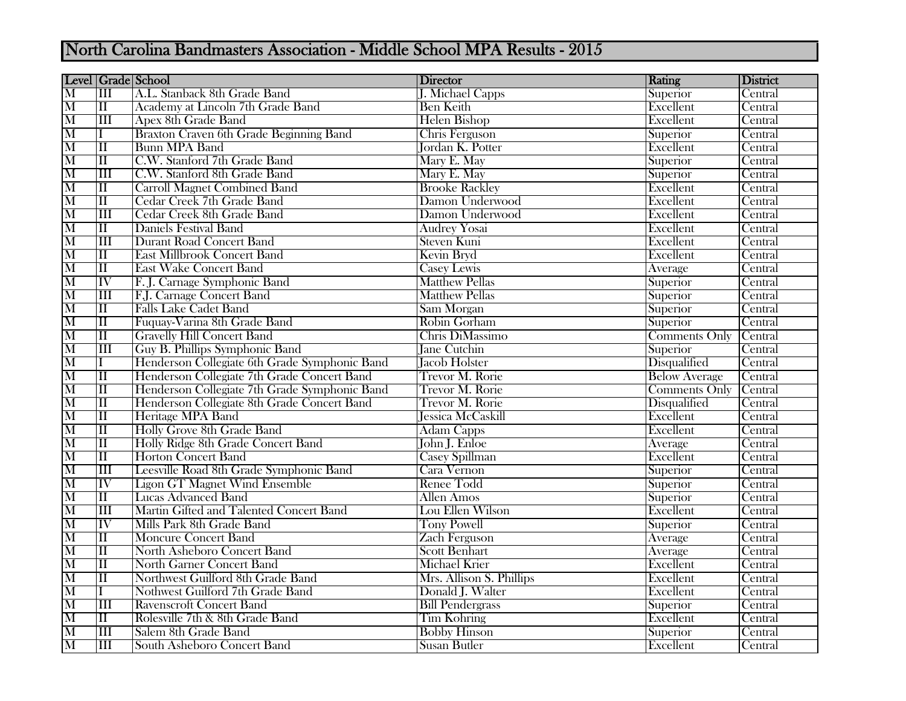## North Carolina Bandmasters Association - Middle School MPA Results - 2015

|                                                        | Level   Grade   School    |                                               | Director                 | Rating               | District       |
|--------------------------------------------------------|---------------------------|-----------------------------------------------|--------------------------|----------------------|----------------|
| $\overline{\mathbf{M}}$                                | $\overline{\rm III}$      | A.L. Stanback 8th Grade Band                  | <b>J. Michael Capps</b>  | Superior             | Central        |
|                                                        | $\overline{\rm II}$       | Academy at Lincoln 7th Grade Band             | <b>Ben Keith</b>         | Excellent            | Central        |
|                                                        | $\overline{\rm III}$      | <b>Apex 8th Grade Band</b>                    | <b>Helen Bishop</b>      | Excellent            | Central        |
| $\frac{\overline{\mathbf{M}}}{\mathbf{M}}$             |                           | Braxton Craven 6th Grade Beginning Band       | Chris Ferguson           | Superior             | Central        |
| $\frac{\overline{M}}{\overline{M}}$                    | $\overline{\rm II}$       | <b>Bunn MPA Band</b>                          | <b>Jordan K. Potter</b>  | Excellent            | Central        |
|                                                        | $\overline{\rm II}$       | C.W. Stanford 7th Grade Band                  | Mary E. May              | Superior             | Central        |
| $\frac{\overline{M}}{\overline{M}}$                    | $\overline{\rm III}$      | C.W. Stanford 8th Grade Band                  | Mary E. May              | Superior             | Central        |
|                                                        | $\overline{\rm II}$       | <b>Carroll Magnet Combined Band</b>           | <b>Brooke Rackley</b>    | Excellent            | Central        |
| $\frac{\overline{\mathbf{M}}}{\mathbf{M}}$             | $\overline{\rm II}$       | Cedar Creek 7th Grade Band                    | Damon Underwood          | Excellent            | Central        |
|                                                        | $\overline{\rm III}$      | Cedar Creek 8th Grade Band                    | Damon Underwood          | Excellent            | Central        |
|                                                        | $\overline{\rm II}$       | <b>Daniels Festival Band</b>                  | <b>Audrey Yosai</b>      | Excellent            | Central        |
| $\overline{\mathbf{M}}$                                | $\overline{\mathrm{III}}$ | <b>Durant Road Concert Band</b>               | <b>Steven Kuni</b>       | Excellent            | Central        |
| $\frac{\overline{M}}{\overline{M}}$                    | $\overline{\rm II}$       | <b>East Millbrook Concert Band</b>            | Kevin Bryd               | Excellent            | Central        |
|                                                        | $\overline{\rm II}$       | <b>East Wake Concert Band</b>                 | <b>Casey Lewis</b>       | Average              | Central        |
| $\overline{\mathbf{M}}$                                | $\overline{\text{IV}}$    | F. J. Carnage Symphonic Band                  | <b>Matthew Pellas</b>    | Superior             | Central        |
|                                                        | $\overline{\rm III}$      | F.J. Carnage Concert Band                     | <b>Matthew Pellas</b>    | Superior             | Central        |
| $\frac{\rm M}{\rm M}$                                  | $\overline{\rm II}$       | <b>Falls Lake Cadet Band</b>                  | Sam Morgan               | Superior             | Central        |
|                                                        | $\overline{\rm II}$       | Fuguay-Varina 8th Grade Band                  | Robin Gorham             | Superior             | Central        |
|                                                        | $\overline{\rm II}$       | <b>Gravelly Hill Concert Band</b>             | Chris DiMassimo          | <b>Comments Only</b> | Central        |
| $\overline{\mathbf{M}}$                                | $\overline{\rm III}$      | Guy B. Phillips Symphonic Band                | <b>Jane Cutchin</b>      | Superior             | Central        |
|                                                        | Ι                         | Henderson Collegiate 6th Grade Symphonic Band | <b>Jacob Holster</b>     | Disqualified         | Central        |
| $\frac{\overline{\mathbf{M}}}{\mathbf{M}}$             | $\overline{\rm II}$       | Henderson Collegiate 7th Grade Concert Band   | <b>Trevor M. Rorie</b>   | <b>Below Average</b> | Central        |
| $\overline{\mathbf{M}}$                                | $\overline{\rm II}$       | Henderson Collegiate 7th Grade Symphonic Band | <b>Trevor M. Rorie</b>   | <b>Comments Only</b> | <b>Central</b> |
| $\frac{\overline{M}}{\overline{M}}$                    | $\overline{\rm II}$       | Henderson Collegiate 8th Grade Concert Band   | <b>Trevor M. Rorie</b>   | Disqualified         | Central        |
|                                                        | $\overline{\rm II}$       | Heritage MPA Band                             | Jessica McCaskill        | Excellent            | Central        |
| $\overline{\mathbf{M}}$                                | $\overline{\rm II}$       | Holly Grove 8th Grade Band                    | <b>Adam Capps</b>        | Excellent            | Central        |
| $\overline{\overline{M}}$                              | $\overline{\rm II}$       | Holly Ridge 8th Grade Concert Band            | John J. Enloe            | Average              | Central        |
|                                                        | $\overline{\rm II}$       | <b>Horton Concert Band</b>                    | <b>Casey Spillman</b>    | Excellent            | Central        |
| $\frac{\overline{\textbf{M}}}{\textbf{M}}$             | $\overline{\rm III}$      | Leesville Road 8th Grade Symphonic Band       | Cara Vernon              | Superior             | Central        |
|                                                        | $\overline{\mathrm{IV}}$  | <b>Ligon GT Magnet Wind Ensemble</b>          | <b>Renee Todd</b>        | Superior             | Central        |
| $\overline{\mathbf{M}}$                                | $\overline{\rm II}$       | <b>Lucas Advanced Band</b>                    | <b>Allen Amos</b>        | Superior             | Central        |
| $\frac{\overline{\mathbf{M}}}{\underline{\mathbf{M}}}$ | $\overline{\rm III}$      | Martin Gifted and Talented Concert Band       | Lou Ellen Wilson         | Excellent            | Central        |
|                                                        | IV                        | Mills Park 8th Grade Band                     | <b>Tony Powell</b>       | Superior             | Central        |
|                                                        | $\overline{\rm II}$       | <b>Moncure Concert Band</b>                   | <b>Zach Ferguson</b>     | Average              | Central        |
| $\frac{\overline{M}}{\overline{M}}$                    | $\overline{\rm II}$       | North Asheboro Concert Band                   | <b>Scott Benhart</b>     | Average              | Central        |
|                                                        | $\overline{\rm II}$       | <b>North Garner Concert Band</b>              | Michael Krier            | Excellent            | Central        |
| $\overline{\mathbf{M}}$                                | $\overline{\rm II}$       | Northwest Guilford 8th Grade Band             | Mrs. Allison S. Phillips | <b>Excellent</b>     | Central        |
| $\overline{\mathbf{M}}$                                | I                         | Nothwest Guilford 7th Grade Band              | Donald J. Walter         | Excellent            | Central        |
| $\overline{\mathbf{M}}$                                | $\overline{\mathrm{III}}$ | <b>Ravenscroft Concert Band</b>               | <b>Bill Pendergrass</b>  | Superior             | Central        |
| $\overline{\mathbf{M}}$                                | $\overline{\rm II}$       | Rolesville 7th & 8th Grade Band               | <b>Tim Kohring</b>       | Excellent            | Central        |
| $\frac{\overline{M}}{\overline{M}}$                    | $\overline{\rm III}$      | Salem 8th Grade Band                          | <b>Bobby Hinson</b>      | Superior             | Central        |
|                                                        | $\overline{\rm III}$      | South Asheboro Concert Band                   | <b>Susan Butler</b>      | Excellent            | Central        |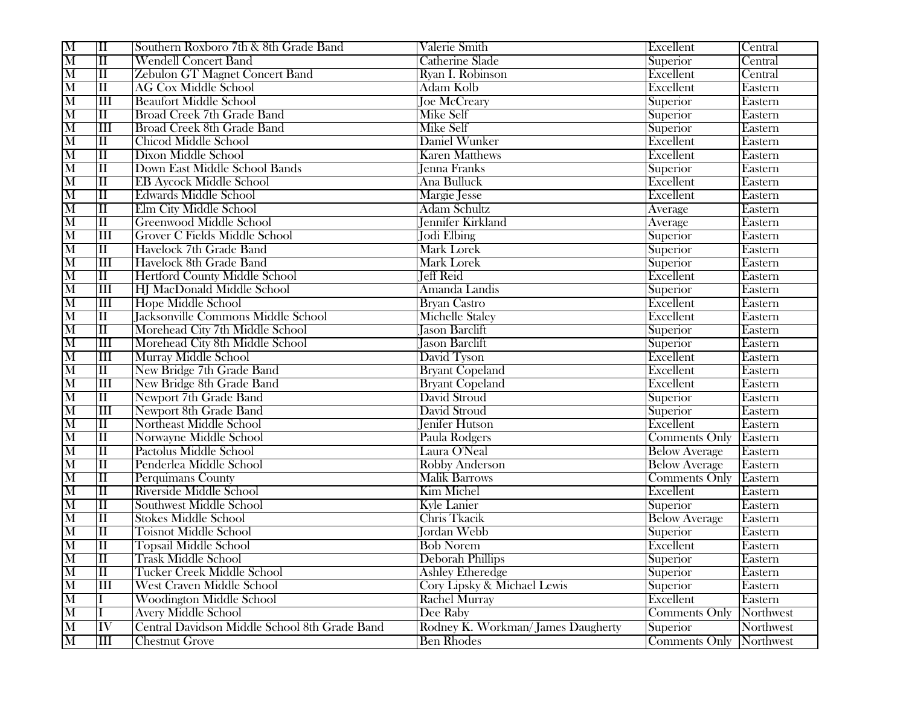| M                       | $\overline{\rm II}$                              | Southern Roxboro 7th & 8th Grade Band         | Valerie Smith                     | Excellent            | Central   |
|-------------------------|--------------------------------------------------|-----------------------------------------------|-----------------------------------|----------------------|-----------|
| $\overline{\mathbf{M}}$ | $\overline{\rm II}$                              | <b>Wendell Concert Band</b>                   | <b>Catherine Slade</b>            | Superior             | Central   |
| $\overline{\mathbf{M}}$ | $\overline{\rm II}$                              | <b>Zebulon GT Magnet Concert Band</b>         | Ryan I. Robinson                  | Excellent            | Central   |
| $\overline{\mathrm{M}}$ | $\overline{\rm II}$                              | <b>AG Cox Middle School</b>                   | Adam Kolb                         | Excellent            | Eastern   |
| $\overline{\text{M}}$   | $\overline{\rm lII}$                             | <b>Beaufort Middle School</b>                 | <b>Joe McCreary</b>               | Superior             | Eastern   |
| $\overline{\text{M}}$   | $\overline{\rm II}$                              | <b>Broad Creek 7th Grade Band</b>             | <b>Mike Self</b>                  | Superior             | Eastern   |
| $\overline{\text{M}}$   | III                                              | <b>Broad Creek 8th Grade Band</b>             | <b>Mike Self</b>                  | Superior             | Eastern   |
| $\overline{\text{M}}$   | $\overline{\rm II}$                              | <b>Chicod Middle School</b>                   | Daniel Wunker                     | Excellent            | Eastern   |
| $\overline{\text{M}}$   | $\overline{\rm II}$                              | <b>Dixon Middle School</b>                    | <b>Karen Matthews</b>             | Excellent            | Eastern   |
| M                       | $\overline{\rm II}$                              | Down East Middle School Bands                 | <b>Jenna Franks</b>               | Superior             | Eastern   |
| $\overline{\text{M}}$   | $\overline{\rm II}$                              | <b>EB Aycock Middle School</b>                | Ana Bulluck                       | Excellent            | Eastern   |
| M                       | $\overline{\rm II}$                              | <b>Edwards Middle School</b>                  | Margie Jesse                      | Excellent            | Eastern   |
| $\overline{\text{M}}$   | $\overline{\rm II}$                              | Elm City Middle School                        | <b>Adam Schultz</b>               | Average              | Eastern   |
| $\overline{\text{M}}$   | $\overline{\rm II}$                              | <b>Greenwood Middle School</b>                | Jennifer Kirkland                 | Average              | Eastern   |
| $\overline{\text{M}}$   | $\overline{\rm III}$                             | Grover C Fields Middle School                 | Jodi Elbing                       | Superior             | Eastern   |
| $\overline{\text{M}}$   | $\overline{\rm II}$                              | Havelock 7th Grade Band                       | <b>Mark Lorek</b>                 | Superior             | Eastern   |
| $\overline{\mathbf{M}}$ | $\overline{\text{III}}$                          | Havelock 8th Grade Band                       | <b>Mark Lorek</b>                 | Superior             | Eastern   |
| $\overline{\mathrm{M}}$ | $\overline{\rm II}$                              | <b>Hertford County Middle School</b>          | <b>Jeff Reid</b>                  | Excellent            | Eastern   |
| $\overline{\text{M}}$   | $\overline{\text{III}}$                          | <b>HJ MacDonald Middle School</b>             | Amanda Landis                     | Superior             | Eastern   |
| $\overline{\mathrm{M}}$ | $\overline{\rm III}$                             | Hope Middle School                            | <b>Brvan Castro</b>               | Excellent            | Eastern   |
| $\overline{\mathrm{M}}$ | $\overline{\rm II}$                              | <b>Jacksonville Commons Middle School</b>     | <b>Michelle Staley</b>            | Excellent            | Eastern   |
| $\overline{\mathbf{M}}$ | $\overline{\rm I\hspace{-.1em}I\hspace{-.1em}I}$ | Morehead City 7th Middle School               | Jason Barclift                    | Superior             | Eastern   |
| M                       | $\overline{\mathbf{m}}$                          | Morehead City 8th Middle School               | <b>Jason Barclift</b>             | Superior             | Eastern   |
| $\overline{\mathbf{M}}$ | $\overline{\rm III}$                             | <b>Murray Middle School</b>                   | David Tyson                       | Excellent            | Eastern   |
| $\overline{\text{M}}$   | $\overline{\rm II}$                              | New Bridge 7th Grade Band                     | <b>Bryant Copeland</b>            | Excellent            | Eastern   |
| $\overline{\text{M}}$   | $\overline{\rm III}$                             | New Bridge 8th Grade Band                     | <b>Bryant Copeland</b>            | Excellent            | Eastern   |
| $\overline{\text{M}}$   | $\overline{\rm II}$                              | <b>Newport 7th Grade Band</b>                 | David Stroud                      | Superior             | Eastern   |
| $\overline{\mathbf{M}}$ | $\overline{\rm III}$                             | Newport 8th Grade Band                        | David Stroud                      | Superior             | Eastern   |
| $\overline{\mathrm{M}}$ | $\overline{\rm II}$                              | <b>Northeast Middle School</b>                | <b>Jenifer Hutson</b>             | Excellent            | Eastern   |
| $\overline{\text{M}}$   | $\overline{\rm II}$                              | Norwayne Middle School                        | Paula Rodgers                     | <b>Comments Only</b> | Eastern   |
| $\overline{\mathbf{M}}$ | $\overline{\rm I\hspace{-.1em}I\hspace{-.1em}I}$ | Pactolus Middle School                        | Laura O'Neal                      | <b>Below Average</b> | Eastern   |
| $\overline{\mathrm{M}}$ | $\overline{\rm II}$                              | Penderlea Middle School                       | <b>Robby Anderson</b>             | <b>Below Average</b> | Eastern   |
| $\overline{\mathbf{M}}$ | $\overline{\rm II}$                              | Perquimans County                             | <b>Malik Barrows</b>              | <b>Comments Only</b> | Eastern   |
| $\overline{\mathbf{M}}$ | $\overline{\rm II}$                              | Riverside Middle School                       | <b>Kim Michel</b>                 | Excellent            | Eastern   |
| $\overline{\text{M}}$   | $\overline{\rm II}$                              | Southwest Middle School                       | <b>Kyle Lanier</b>                | Superior             | Eastern   |
| $\overline{\text{M}}$   | $\overline{\rm II}$                              | <b>Stokes Middle School</b>                   | Chris Tkacik                      | <b>Below Average</b> | Eastern   |
| $\overline{\text{M}}$   | $\overline{\rm II}$                              | <b>Toisnot Middle School</b>                  | Jordan Webb                       | Superior             | Eastern   |
| $\overline{\text{M}}$   | $\overline{\rm II}$                              | <b>Topsail Middle School</b>                  | <b>Bob Norem</b>                  | Excellent            | Eastern   |
| $\overline{\text{M}}$   | Ш                                                | Trask Middle School                           | <b>Deborah Phillips</b>           | Superior             | Eastern   |
| $\overline{\text{M}}$   | $\overline{\rm II}$                              | Tucker Creek Middle School                    | <b>Ashley Etheredge</b>           | Superior             | Eastern   |
| $\overline{\text{M}}$   | $\overline{\rm III}$                             | <b>West Craven Middle School</b>              | Cory Lipsky & Michael Lewis       | Superior             | Eastern   |
| $\overline{\text{M}}$   |                                                  | <b>Woodington Middle School</b>               | <b>Rachel Murray</b>              | Excellent            | Eastern   |
| $\overline{\mathrm{M}}$ |                                                  | <b>Avery Middle School</b>                    | Dee Raby                          | <b>Comments Only</b> | Northwest |
| $\overline{\text{M}}$   | $ \overline{\text{IV}} $                         | Central Davidson Middle School 8th Grade Band | Rodney K. Workman/James Daugherty | Superior             | Northwest |
| M                       | $\mathbf{m}$                                     | <b>Chestnut Grove</b>                         | <b>Ben Rhodes</b>                 | <b>Comments Only</b> | Northwest |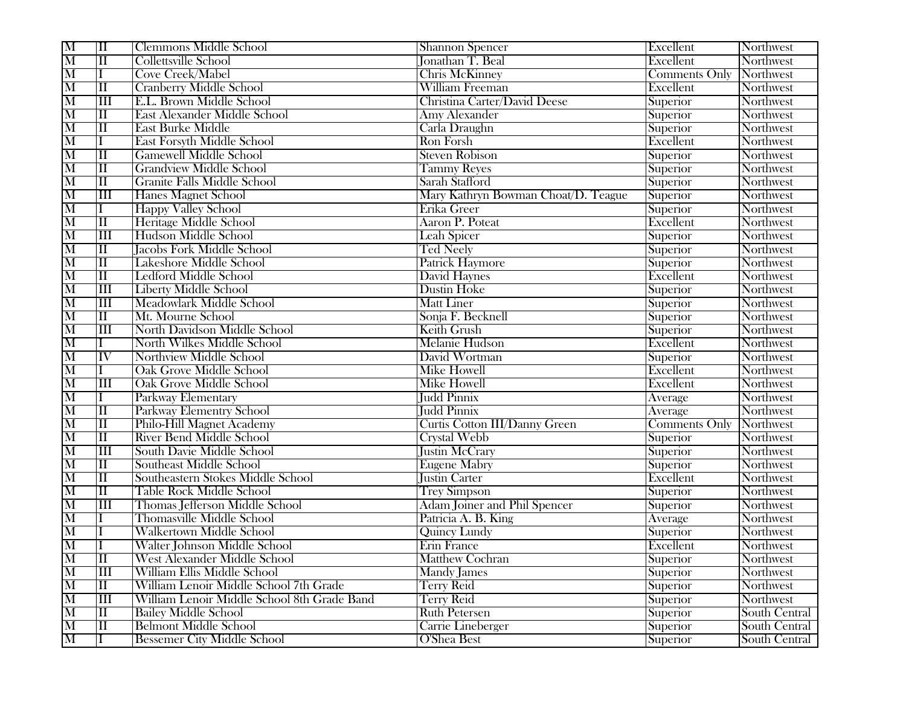| $\overline{\mathbf{M}}$ | $\overline{\rm II}$     | Clemmons Middle School                      | <b>Shannon Spencer</b>              | Excellent            | Northwest     |
|-------------------------|-------------------------|---------------------------------------------|-------------------------------------|----------------------|---------------|
| $\overline{\mathbf{M}}$ | $\overline{\rm II}$     | <b>Collettsville School</b>                 | <b>Jonathan T. Beal</b>             | Excellent            | Northwest     |
| $\overline{\mathbf{M}}$ | I                       | <b>Cove Creek/Mabel</b>                     | <b>Chris McKinney</b>               | Comments Only        | Northwest     |
| $\overline{\text{M}}$   | $\overline{\rm II}$     | <b>Cranberry Middle School</b>              | <b>William Freeman</b>              | Excellent            | Northwest     |
| $\overline{\text{M}}$   | $\overline{\rm III}$    | E.L. Brown Middle School                    | Christina Carter/David Deese        | Superior             | Northwest     |
| $\overline{\text{M}}$   | $\overline{\rm II}$     | <b>East Alexander Middle School</b>         | <b>Amy Alexander</b>                | Superior             | Northwest     |
| $\overline{\text{M}}$   | $\overline{\rm II}$     | <b>East Burke Middle</b>                    | Carla Draughn                       | Superior             | Northwest     |
| $\overline{\text{M}}$   | L                       | <b>East Forsyth Middle School</b>           | Ron Forsh                           | Excellent            | Northwest     |
| $\overline{\mathrm{M}}$ | $\overline{\rm II}$     | <b>Gamewell Middle School</b>               | <b>Steven Robison</b>               | Superior             | Northwest     |
| $\overline{\text{M}}$   | $\overline{\rm II}$     | <b>Grandview Middle School</b>              | <b>Tammy Reyes</b>                  | Superior             | Northwest     |
| $\overline{\text{M}}$   | $\overline{\rm II}$     | <b>Granite Falls Middle School</b>          | Sarah Stafford                      | Superior             | Northwest     |
| $\overline{\text{M}}$   | $\overline{\mathbf{H}}$ | <b>Hanes Magnet School</b>                  | Mary Kathryn Bowman Choat/D. Teague | Superior             | Northwest     |
| $\overline{\text{M}}$   | I                       | <b>Happy Valley School</b>                  | Erika Greer                         | Superior             | Northwest     |
| $\overline{\mathbf{M}}$ | $\overline{\rm II}$     | Heritage Middle School                      | <b>Aaron P. Poteat</b>              | Excellent            | Northwest     |
| $\overline{\text{M}}$   | $\overline{\rm III}$    | Hudson Middle School                        | Leah Spicer                         | Superior             | Northwest     |
| $\overline{\mathbf{M}}$ | $\overline{\rm II}$     | <b>Jacobs Fork Middle School</b>            | <b>Ted Neely</b>                    | Superior             | Northwest     |
| $\overline{\mathbf{M}}$ | $\overline{\rm II}$     | Lakeshore Middle School                     | Patrick Haymore                     | Superior             | Northwest     |
| M                       | $\overline{\rm II}$     | <b>Ledford Middle School</b>                | David Haynes                        | Excellent            | Northwest     |
| $\overline{\text{M}}$   | $\overline{\rm III}$    | <b>Liberty Middle School</b>                | <b>Dustin Hoke</b>                  | Superior             | Northwest     |
| $\overline{\mathrm{M}}$ | $\overline{\rm III}$    | <b>Meadowlark Middle School</b>             | <b>Matt Liner</b>                   | Superior             | Northwest     |
| $\overline{\mathrm{M}}$ | $\overline{\rm II}$     | Mt. Mourne School                           | Sonja F. Becknell                   | Superior             | Northwest     |
| $\overline{\mathbf{M}}$ | $\overline{\rm III}$    | <b>North Davidson Middle School</b>         | Keith Grush                         | Superior             | Northwest     |
| $\overline{\text{M}}$   | Ι                       | <b>North Wilkes Middle School</b>           | <b>Melanie Hudson</b>               | Excellent            | Northwest     |
| $\overline{\text{M}}$   | $\overline{\text{IV}}$  | <b>Northview Middle School</b>              | David Wortman                       | Superior             | Northwest     |
| $\overline{\text{M}}$   | Ι.                      | <b>Oak Grove Middle School</b>              | <b>Mike Howell</b>                  | Excellent            | Northwest     |
| $\overline{\text{M}}$   | $\overline{\rm III}$    | <b>Oak Grove Middle School</b>              | <b>Mike Howell</b>                  | Excellent            | Northwest     |
| $\overline{\text{M}}$   | L                       | Parkway Elementary                          | <b>Judd Pinnix</b>                  | Average              | Northwest     |
| $\overline{\text{M}}$   | $\overline{\rm II}$     | Parkway Elementry School                    | <b>Judd Pinnix</b>                  | Average              | Northwest     |
| M                       | $\overline{\rm II}$     | Philo-Hill Magnet Academy                   | Curtis Cotton III/Danny Green       | <b>Comments Only</b> | Northwest     |
| $\overline{\text{M}}$   | $\overline{\rm II}$     | <b>River Bend Middle School</b>             | <b>Crystal Webb</b>                 | Superior             | Northwest     |
| $\overline{\mathbf{M}}$ | $\overline{\mathbf{H}}$ | South Davie Middle School                   | <b>Justin McCrary</b>               | Superior             | Northwest     |
| $\overline{\text{M}}$   | $\overline{\rm II}$     | <b>Southeast Middle School</b>              | <b>Eugene Mabry</b>                 | Superior             | Northwest     |
| $\overline{\text{M}}$   | $\overline{\rm II}$     | Southeastern Stokes Middle School           | <b>Justin Carter</b>                | Excellent            | Northwest     |
| $\overline{\rm M}$      | $\overline{\rm II}$     | <b>Table Rock Middle School</b>             | <b>Trey Simpson</b>                 | Superior             | Northwest     |
| $\overline{\text{M}}$   | $\overline{\rm III}$    | Thomas Jefferson Middle School              | <b>Adam Joiner and Phil Spencer</b> | Superior             | Northwest     |
| $\overline{\text{M}}$   |                         | <b>Thomasville Middle School</b>            | Patricia A. B. King                 | Average              | Northwest     |
| $\overline{\text{M}}$   |                         | <b>Walkertown Middle School</b>             | <b>Quincy Lundy</b>                 | Superior             | Northwest     |
| $\overline{\text{M}}$   |                         | <b>Walter Johnson Middle School</b>         | Erin France                         | Excellent            | Northwest     |
| $\overline{\text{M}}$   | Ш                       | West Alexander Middle School                | <b>Matthew Cochran</b>              | Superior             | Northwest     |
| $\overline{\text{M}}$   | III                     | William Ellis Middle School                 | Mandy James                         | Superior             | Northwest     |
| $\overline{\text{M}}$   | $\overline{\rm II}$     | William Lenoir Middle School 7th Grade      | <b>Terry Reid</b>                   | Superior             | Northwest     |
| $\overline{\mathrm{M}}$ | $\overline{\rm III}$    | William Lenoir Middle School 8th Grade Band | <b>Terry Reid</b>                   | Superior             | Northwest     |
| $\overline{\mathrm{M}}$ | $\overline{\rm II}$     | <b>Bailey Middle School</b>                 | <b>Ruth Petersen</b>                | Superior             | South Central |
| $\overline{\mathrm{M}}$ | $\overline{\rm II}$     | <b>Belmont Middle School</b>                | Carrie Lineberger                   | Superior             | South Central |
| $\overline{\mathrm{M}}$ |                         | <b>Bessemer City Middle School</b>          | O'Shea Best                         | Superior             | South Central |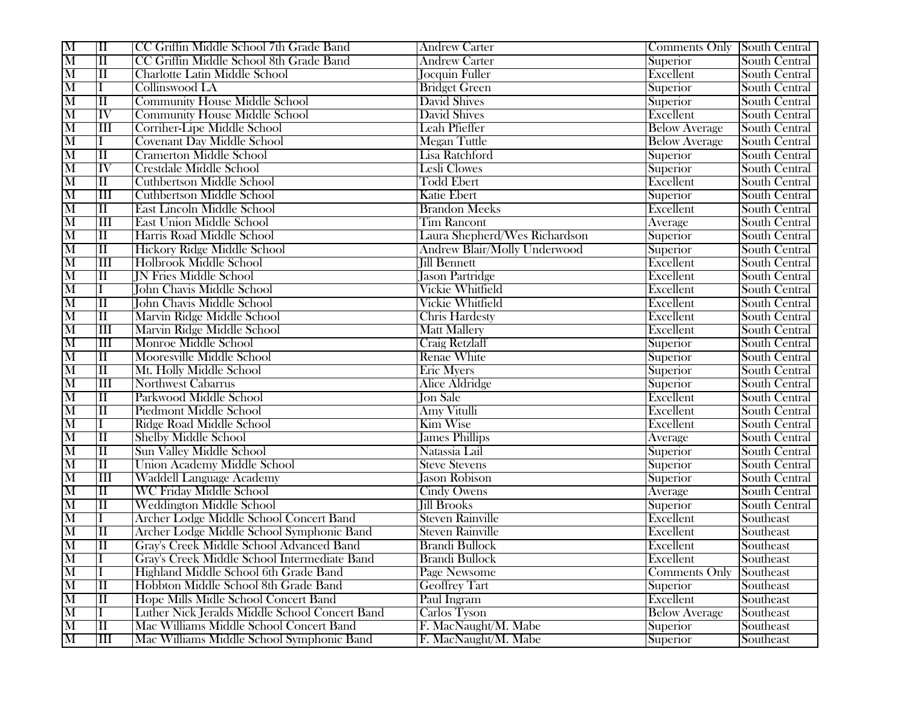| M                       | $\overline{\rm II}$     | CC Griffin Middle School 7th Grade Band        | <b>Andrew Carter</b>                | <b>Comments Only South Central</b> |                      |
|-------------------------|-------------------------|------------------------------------------------|-------------------------------------|------------------------------------|----------------------|
| $\overline{\text{M}}$   | $\overline{\rm II}$     | CC Griffin Middle School 8th Grade Band        | <b>Andrew Carter</b>                | Superior                           | South Central        |
| $\overline{\mathbf{M}}$ | $\overline{\rm II}$     | <b>Charlotte Latin Middle School</b>           | <b>Jocquin Fuller</b>               | Excellent                          | South Central        |
| $\overline{\text{M}}$   | Ι                       | Collinswood LA                                 | <b>Bridget Green</b>                | Superior                           | South Central        |
| $\overline{\text{M}}$   | $\overline{\rm II}$     | <b>Community House Middle School</b>           | <b>David Shives</b>                 | Superior                           | South Central        |
| $\overline{\mathrm{M}}$ | $\overline{\text{IV}}$  | <b>Community House Middle School</b>           | <b>David Shives</b>                 | Excellent                          | South Central        |
| $\overline{\text{M}}$   | $\overline{\mathbf{H}}$ | Corriher-Lipe Middle School                    | Leah Pfieffer                       | <b>Below Average</b>               | South Central        |
| $\overline{\text{M}}$   |                         | <b>Covenant Day Middle School</b>              | <b>Megan Tuttle</b>                 | <b>Below Average</b>               | South Central        |
| $\overline{\mathrm{M}}$ | $\overline{\rm II}$     | <b>Cramerton Middle School</b>                 | <b>Lisa Ratchford</b>               | Superior                           | South Central        |
| $\overline{\text{M}}$   | IV                      | <b>Crestdale Middle School</b>                 | Lesli Clowes                        | Superior                           | South Central        |
| $\overline{\text{M}}$   | $\overline{\rm II}$     | <b>Cuthbertson Middle School</b>               | <b>Todd Ebert</b>                   | Excellent                          | South Central        |
| $\overline{\text{M}}$   | $\overline{\rm III}$    | <b>Cuthbertson Middle School</b>               | <b>Katie Ebert</b>                  | Superior                           | South Central        |
| $\overline{\text{M}}$   | $\overline{\rm II}$     | <b>East Lincoln Middle School</b>              | <b>Brandon Meeks</b>                | Excellent                          | South Central        |
| $\overline{\text{M}}$   | $\overline{\rm III}$    | <b>East Union Middle School</b>                | <b>Tim Rancont</b>                  | Average                            | South Central        |
| $\overline{\text{M}}$   | $\overline{\rm II}$     | Harris Road Middle School                      | Laura Shepherd/Wes Richardson       | Superior                           | South Central        |
| $\overline{\text{M}}$   | $\overline{\rm II}$     | <b>Hickory Ridge Middle School</b>             | <b>Andrew Blair/Molly Underwood</b> | Superior                           | South Central        |
| $\overline{\mathbf{M}}$ | III                     | Holbrook Middle School                         | <b>Jill Bennett</b>                 | Excellent                          | South Central        |
| $\overline{\mathrm{M}}$ | $\overline{\rm II}$     | <b>IN Fries Middle School</b>                  | Jason Partridge                     | Excellent                          | South Central        |
| $\overline{\mathrm{M}}$ | Ι                       | <b>John Chavis Middle School</b>               | <b>Vickie Whitfield</b>             | Excellent                          | South Central        |
| $\overline{\mathrm{M}}$ | $\overline{\rm II}$     | <b>John Chavis Middle School</b>               | <b>Vickie Whitfield</b>             | Excellent                          | South Central        |
| $\overline{\text{M}}$   | $\overline{\rm II}$     | Marvin Ridge Middle School                     | <b>Chris Hardesty</b>               | Excellent                          | South Central        |
| $\overline{\text{M}}$   | $\overline{\rm III}$    | Marvin Ridge Middle School                     | <b>Matt Mallery</b>                 | Excellent                          | South Central        |
| M                       | $\overline{\mathbf{H}}$ | Monroe Middle School                           | <b>Craig Retzlaff</b>               | Superior                           | South Central        |
| $\overline{\text{M}}$   | $\overline{\rm II}$     | Mooresville Middle School                      | Renae White                         | Superior                           | South Central        |
| $\overline{\text{M}}$   | $\overline{\rm II}$     | Mt. Holly Middle School                        | <b>Eric Myers</b>                   | Superior                           | South Central        |
| M                       | $\overline{\rm III}$    | Northwest Cabarrus                             | Alice Aldridge                      | Superior                           | South Central        |
| $\overline{\text{M}}$   | $\overline{\rm II}$     | Parkwood Middle School                         | <b>Jon Sale</b>                     | Excellent                          | South Central        |
| $\overline{\text{M}}$   | $\overline{\rm II}$     | <b>Piedmont Middle School</b>                  | <b>Amy Vitulli</b>                  | Excellent                          | South Central        |
| $\overline{\text{M}}$   | Ι                       | <b>Ridge Road Middle School</b>                | <b>Kim Wise</b>                     | Excellent                          | South Central        |
| $\overline{\text{M}}$   | $\overline{\rm II}$     | <b>Shelby Middle School</b>                    | <b>James Phillips</b>               | Average                            | South Central        |
| $\overline{\mathrm{M}}$ | $\overline{\rm II}$     | <b>Sun Valley Middle School</b>                | Natassia Lail                       | Superior                           | South Central        |
| $\overline{\text{M}}$   | $\overline{\rm II}$     | <b>Union Academy Middle School</b>             | <b>Steve Stevens</b>                | Superior                           | South Central        |
| $\overline{\text{M}}$   | $\overline{\mathbf{H}}$ | <b>Waddell Language Academy</b>                | <b>Iason Robison</b>                | Superior                           | South Central        |
| $\overline{\text{M}}$   | $\overline{\rm II}$     | <b>WC Friday Middle School</b>                 | <b>Cindy Owens</b>                  | Average                            | South Central        |
| $\overline{\text{M}}$   | $\overline{\rm II}$     | <b>Weddington Middle School</b>                | <b>Jill Brooks</b>                  | Superior                           | <b>South Central</b> |
| $\overline{\text{M}}$   | Ι.                      | Archer Lodge Middle School Concert Band        | <b>Steven Rainville</b>             | Excellent                          | Southeast            |
| $\overline{\text{M}}$   | $\overline{\rm II}$     | Archer Lodge Middle School Symphonic Band      | <b>Steven Rainville</b>             | Excellent                          | Southeast            |
| $\overline{\text{M}}$   | $\overline{\rm II}$     | Gray's Creek Middle School Advanced Band       | <b>Brandi Bullock</b>               | Excellent                          | Southeast            |
| $\overline{\mathbf{M}}$ | $\mathbf{L}$            | Gray's Creek Middle School Intermediate Band   | Brandi Bullock                      | Excellent                          | Southeast            |
| $\overline{\text{M}}$   |                         | Highland Middle School 6th Grade Band          | Page Newsome                        | <b>Comments Only</b>               | Southeast            |
| $\overline{\text{M}}$   | $\overline{\rm II}$     | Hobbton Middle School 8th Grade Band           | <b>Geoffrey Tart</b>                | Superior                           | Southeast            |
| $\overline{\mathrm{M}}$ | $\overline{\rm II}$     | Hope Mills Midle School Concert Band           | Paul Ingram                         | Excellent                          | Southeast            |
| $\overline{\mathrm{M}}$ |                         | Luther Nick Jeralds Middle School Concert Band | Carlos Tyson                        | <b>Below Average</b>               | Southeast            |
| $\overline{\mathrm{M}}$ | $\overline{\rm II}$     | Mac Williams Middle School Concert Band        | F. MacNaught/M. Mabe                | Superior                           | Southeast            |
| $\overline{\mathrm{M}}$ | $\overline{\rm III}$    | Mac Williams Middle School Symphonic Band      | F. MacNaught/M. Mabe                | Superior                           | Southeast            |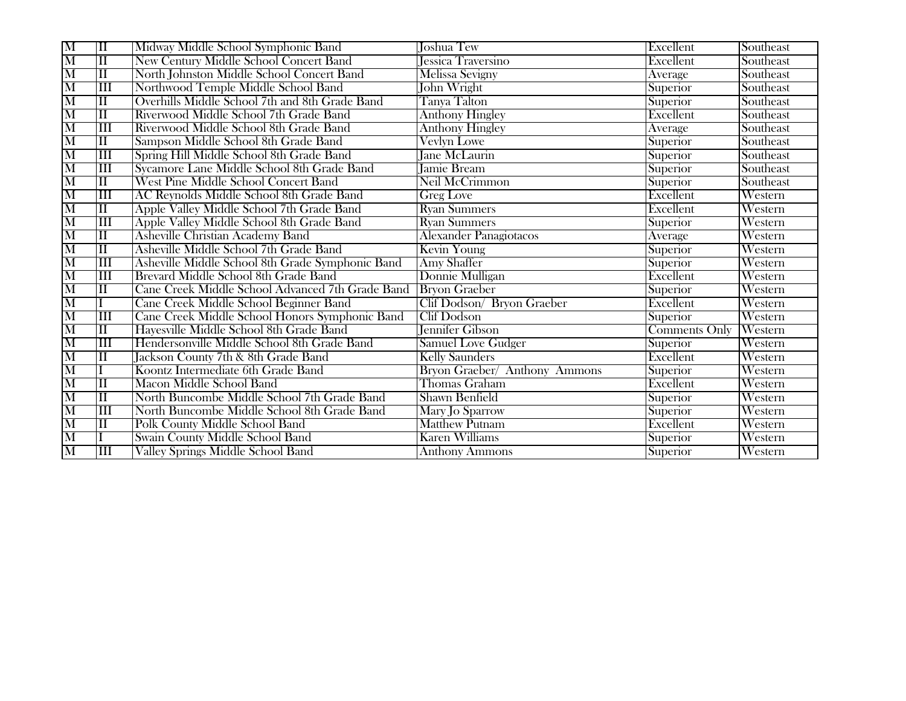| M                       | $\overline{\rm II}$     | Midway Middle School Symphonic Band              | Joshua Tew                    | Excellent     | Southeast      |
|-------------------------|-------------------------|--------------------------------------------------|-------------------------------|---------------|----------------|
| $\overline{\mathbf{M}}$ | $\overline{\rm II}$     | <b>New Century Middle School Concert Band</b>    | Jessica Traversino            | Excellent     | Southeast      |
| $\overline{\mathbf{M}}$ | $\overline{\rm II}$     | North Johnston Middle School Concert Band        | Melissa Sevigny               | Average       | Southeast      |
| M                       | $\overline{\mathbf{H}}$ | Northwood Temple Middle School Band              | John Wright                   | Superior      | Southeast      |
| $\overline{\mathbf{M}}$ | $\overline{\rm II}$     | Overhills Middle School 7th and 8th Grade Band   | Tanya Talton                  | Superior      | Southeast      |
| $\overline{\text{M}}$   | $\overline{\rm II}$     | Riverwood Middle School 7th Grade Band           | <b>Anthony Hingley</b>        | Excellent     | Southeast      |
| M                       | $\overline{\rm III}$    | Riverwood Middle School 8th Grade Band           | <b>Anthony Hingley</b>        | Average       | Southeast      |
| $\overline{\mathbf{M}}$ | $\overline{\rm II}$     | Sampson Middle School 8th Grade Band             | Vevlyn Lowe                   | Superior      | Southeast      |
| M                       | $\overline{\rm III}$    | Spring Hill Middle School 8th Grade Band         | <b>Jane McLaurin</b>          | Superior      | Southeast      |
| $\overline{\mathbf{M}}$ | $\overline{\rm III}$    | Sycamore Lane Middle School 8th Grade Band       | <b>Jamie Bream</b>            | Superior      | Southeast      |
| $\overline{\text{M}}$   | $\overline{\rm II}$     | West Pine Middle School Concert Band             | Neil McCrimmon                | Superior      | Southeast      |
| M                       | $\overline{\rm III}$    | AC Reynolds Middle School 8th Grade Band         | Greg Love                     | Excellent     | Western        |
| $\overline{\text{M}}$   | $\overline{\rm II}$     | Apple Valley Middle School 7th Grade Band        | <b>Ryan Summers</b>           | Excellent     | Western        |
| $\overline{\mathbf{M}}$ | $\overline{\rm III}$    | Apple Valley Middle School 8th Grade Band        | <b>Ryan Summers</b>           | Superior      | Western        |
| M                       | $\overline{\rm II}$     | Asheville Christian Academy Band                 | <b>Alexander Panagiotacos</b> | Average       | Western        |
| $\overline{\mathbf{M}}$ | $\overline{\rm II}$     | Asheville Middle School 7th Grade Band           | Kevin Young                   | Superior      | Western        |
| $\overline{\mathbf{M}}$ | $\overline{\rm III}$    | Asheville Middle School 8th Grade Symphonic Band | <b>Amy Shaffer</b>            | Superior      | Western        |
| $\overline{\mathrm{M}}$ | $\overline{\rm III}$    | Brevard Middle School 8th Grade Band             | Donnie Mulligan               | Excellent     | Western        |
| $\overline{\text{M}}$   | $\overline{\rm II}$     | Cane Creek Middle School Advanced 7th Grade Band | <b>Bryon Graeber</b>          | Superior      | Western        |
| $\overline{\text{M}}$   |                         | Cane Creek Middle School Beginner Band           | Clif Dodson/ Bryon Graeber    | Excellent     | Western        |
| $\overline{\text{M}}$   | $\overline{\mathbf{H}}$ | Cane Creek Middle School Honors Symphonic Band   | <b>Clif Dodson</b>            | Superior      | Western        |
| $\overline{\mathbf{M}}$ | $\overline{\rm II}$     | Hayesville Middle School 8th Grade Band          | <b>Jennifer Gibson</b>        | Comments Only | <b>Western</b> |
| $\overline{\mathrm{M}}$ | $\overline{\rm III}$    | Hendersonville Middle School 8th Grade Band      | Samuel Love Gudger            | Superior      | Western        |
| $\overline{\mathbf{M}}$ | $\overline{\rm II}$     | Jackson County 7th & 8th Grade Band              | <b>Kelly Saunders</b>         | Excellent     | Western        |
| $\overline{\text{M}}$   |                         | Koontz Intermediate 6th Grade Band               | Bryon Graeber/ Anthony Ammons | Superior      | Western        |
| M                       | $\overline{\rm II}$     | Macon Middle School Band                         | Thomas Graham                 | Excellent     | Western        |
| $\overline{\mathbf{M}}$ | $\overline{\rm II}$     | North Buncombe Middle School 7th Grade Band      | <b>Shawn Benfield</b>         | Superior      | Western        |
| $\overline{\text{M}}$   | $\overline{\rm III}$    | North Buncombe Middle School 8th Grade Band      | Mary Jo Sparrow               | Superior      | Western        |
| $\overline{\mathrm{M}}$ | $\overline{\rm II}$     | <b>Polk County Middle School Band</b>            | <b>Matthew Putnam</b>         | Excellent     | Western        |
| $\overline{\mathrm{M}}$ |                         | Swain County Middle School Band                  | <b>Karen Williams</b>         | Superior      | Western        |
| $\overline{\mathbf{M}}$ | $\overline{\rm III}$    | Valley Springs Middle School Band                | <b>Anthony Ammons</b>         | Superior      | Western        |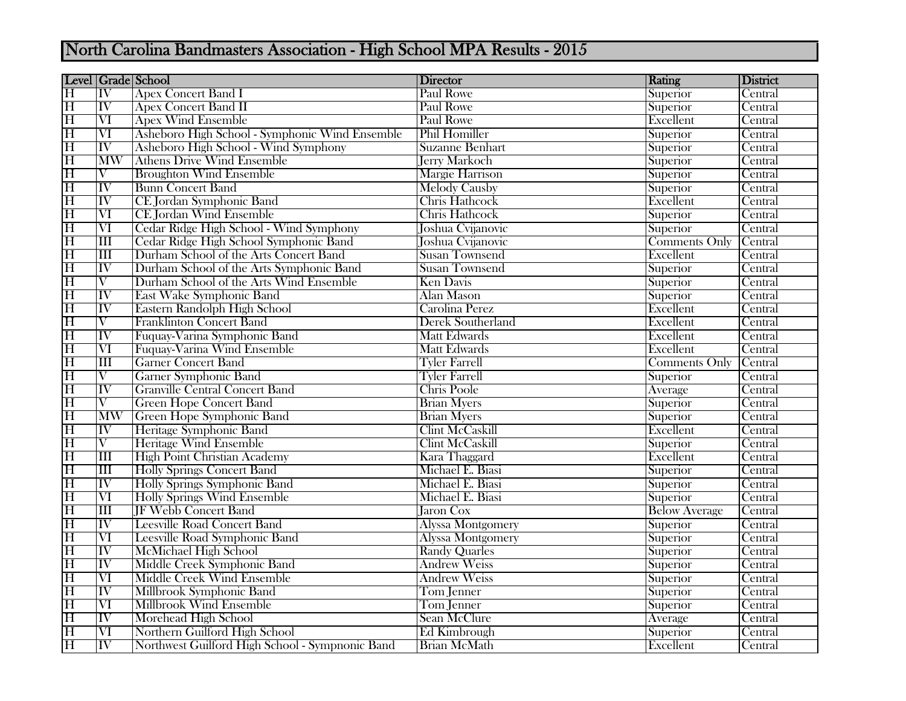## North Carolina Bandmasters Association - High School MPA Results - 2015

|                         |                          | Level   Grade   School                          | <b>Director</b>          | Rating               | District |
|-------------------------|--------------------------|-------------------------------------------------|--------------------------|----------------------|----------|
| $\overline{\mathrm{H}}$ | $\overline{\text{IV}}$   | <b>Apex Concert Band I</b>                      | <b>Paul Rowe</b>         | Superior             | Central  |
| $\overline{\mathrm{H}}$ | $\overline{\text{IV}}$   | <b>Apex Concert Band II</b>                     | <b>Paul Rowe</b>         | Superior             | Central  |
| $\overline{\mathrm{H}}$ | $\overline{\text{VI}}$   | <b>Apex Wind Ensemble</b>                       | Paul Rowe                | Excellent            | Central  |
| $\overline{\mathrm{H}}$ | $\overline{\text{VI}}$   | Asheboro High School - Symphonic Wind Ensemble  | Phil Homiller            | Superior             | Central  |
| $\overline{\mathrm{H}}$ | $\overline{\mathrm{IV}}$ | Asheboro High School - Wind Symphony            | <b>Suzanne Benhart</b>   | Superior             | Central  |
| $\overline{\mathrm{H}}$ | <b>MW</b>                | <b>Athens Drive Wind Ensemble</b>               | <b>Jerry Markoch</b>     | Superior             | Central  |
| $\overline{\mathrm{H}}$ | $\overline{\rm{V}}$      | <b>Broughton Wind Ensemble</b>                  | <b>Margie Harrison</b>   | Superior             | Central  |
| $\overline{\mathrm{H}}$ | IV                       | <b>Bunn Concert Band</b>                        | <b>Melody Causby</b>     | Superior             | Central  |
| $\overline{\mathrm{H}}$ | $\overline{\text{IV}}$   | CE Jordan Symphonic Band                        | <b>Chris Hathcock</b>    | Excellent            | Central  |
| $\overline{\mathrm{H}}$ | $\overline{\text{VI}}$   | <b>CE Jordan Wind Ensemble</b>                  | <b>Chris Hathcock</b>    | Superior             | Central  |
| $\overline{\mathrm{H}}$ | $\overline{\text{VI}}$   | Cedar Ridge High School - Wind Symphony         | Joshua Cvijanovic        | Superior             | Central  |
| $\overline{\mathrm{H}}$ | $\overline{\rm III}$     | Cedar Ridge High School Symphonic Band          | Joshua Cvijanovic        | Comments Only        | Central  |
| $\overline{\mathrm{H}}$ | $\overline{\text{III}}$  | Durham School of the Arts Concert Band          | <b>Susan Townsend</b>    | Excellent            | Central  |
| $\overline{\mathrm{H}}$ | $\overline{\mathrm{IV}}$ | Durham School of the Arts Symphonic Band        | <b>Susan Townsend</b>    | Superior             | Central  |
| $\overline{\mathrm{H}}$ | $\overline{\rm v}$       | Durham School of the Arts Wind Ensemble         | <b>Ken Davis</b>         | Superior             | Central  |
| $\overline{\mathrm{H}}$ | $\overline{\mathrm{IV}}$ | East Wake Symphonic Band                        | <b>Alan Mason</b>        | Superior             | Central  |
| $\overline{\mathrm{H}}$ | $\overline{\text{IV}}$   | Eastern Randolph High School                    | Carolina Perez           | Excellent            | Central  |
| $\overline{\mathrm{H}}$ | $\overline{\rm{V}}$      | <b>Franklinton Concert Band</b>                 | <b>Derek Southerland</b> | Excellent            | Central  |
| $\overline{\mathrm{H}}$ | $\overline{\mathrm{IV}}$ | Fuquay-Varina Symphonic Band                    | <b>Matt Edwards</b>      | Excellent            | Central  |
| $\overline{\mathrm{H}}$ | $\overline{\text{VI}}$   | Fuquay-Varina Wind Ensemble                     | <b>Matt Edwards</b>      | Excellent            | Central  |
| $\overline{\mathrm{H}}$ | $\overline{\rm III}$     | <b>Garner Concert Band</b>                      | <b>Tyler Farrell</b>     | <b>Comments Only</b> | Central  |
| $\overline{\mathrm{H}}$ | $\overline{\rm V}$       | <b>Garner Symphonic Band</b>                    | <b>Tyler Farrell</b>     | Superior             | Central  |
| $\overline{\mathrm{H}}$ | $\overline{\text{IV}}$   | <b>Granville Central Concert Band</b>           | Chris Poole              | Average              | Central  |
| $\overline{\mathrm{H}}$ | $\overline{\rm{V}}$      | <b>Green Hope Concert Band</b>                  | <b>Brian Myers</b>       | Superior             | Central  |
| $\overline{\mathrm{H}}$ | <b>MW</b>                | Green Hope Symphonic Band                       | <b>Brian Myers</b>       | Superior             | Central  |
| $\overline{\mathrm{H}}$ | $\overline{\text{IV}}$   | Heritage Symphonic Band                         | <b>Clint McCaskill</b>   | Excellent            | Central  |
| $\overline{\mathrm{H}}$ | $\overline{\rm{V}}$      | <b>Heritage Wind Ensemble</b>                   | <b>Clint McCaskill</b>   | Superior             | Central  |
| $\overline{\mathrm{H}}$ | $\overline{\rm III}$     | <b>High Point Christian Academy</b>             | Kara Thaggard            | Excellent            | Central  |
| $\overline{\mathrm{H}}$ | $\overline{\rm III}$     | <b>Holly Springs Concert Band</b>               | Michael E. Biasi         | Superior             | Central  |
| $\overline{\mathrm{H}}$ | $\overline{\mathrm{IV}}$ | Holly Springs Symphonic Band                    | Michael E. Biasi         | Superior             | Central  |
| $\overline{\mathrm{H}}$ | $\overline{\text{VI}}$   | <b>Holly Springs Wind Ensemble</b>              | Michael E. Biasi         | Superior             | Central  |
| $\overline{\mathrm{H}}$ | $\overline{\rm III}$     | <b>JF Webb Concert Band</b>                     | <b>Jaron Cox</b>         | <b>Below Average</b> | Central  |
| $\overline{\mathrm{H}}$ | $\overline{\mathrm{IV}}$ | <b>Leesville Road Concert Band</b>              | <b>Alyssa Montgomery</b> | Superior             | Central  |
| $\overline{\mathrm{H}}$ | $\overline{\text{VI}}$   | <b>Leesville Road Symphonic Band</b>            | <b>Alyssa Montgomery</b> | Superior             | Central  |
| $\overline{\mathrm{H}}$ | $\overline{\text{IV}}$   | McMichael High School                           | <b>Randy Quarles</b>     | Superior             | Central  |
| $\overline{\mathrm{H}}$ | $\overline{\mathrm{IV}}$ | Middle Creek Symphonic Band                     | <b>Andrew Weiss</b>      | Superior             | Central  |
| $\overline{\mathrm{H}}$ | $\overline{\text{VI}}$   | Middle Creek Wind Ensemble                      | <b>Andrew Weiss</b>      | Superior             | Central  |
| $\overline{\mathrm{H}}$ | $\overline{IV}$          | Millbrook Symphonic Band                        | Tom Jenner               | Superior             | Central  |
| $\overline{\mathrm{H}}$ | $\overline{\text{VI}}$   | <b>Millbrook Wind Ensemble</b>                  | Tom Jenner               | Superior             | Central  |
| $\overline{\mathrm{H}}$ | $\overline{\text{IV}}$   | Morehead High School                            | <b>Sean McClure</b>      | Average              | Central  |
| $\overline{\mathrm{H}}$ | $\overline{\text{VI}}$   | Northern Guilford High School                   | Ed Kimbrough             | Superior             | Central  |
| $\overline{\mathrm{H}}$ | $\overline{\text{IV}}$   | Northwest Guilford High School - Sympnonic Band | <b>Brian McMath</b>      | Excellent            | Central  |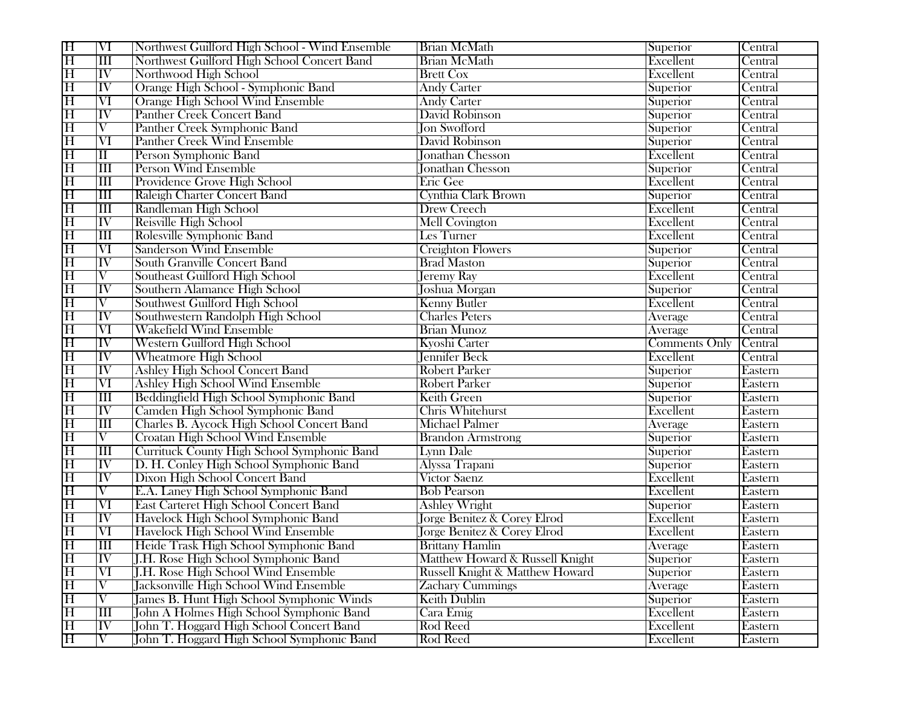| $\overline{\mathrm{H}}$ | $\overline{\text{VI}}$   | Northwest Guilford High School - Wind Ensemble | <b>Brian McMath</b>                    | Superior             | Central |
|-------------------------|--------------------------|------------------------------------------------|----------------------------------------|----------------------|---------|
| $\overline{\mathrm{H}}$ | $\overline{\mathbf{m}}$  | Northwest Guilford High School Concert Band    | <b>Brian McMath</b>                    | Excellent            | Central |
| $\overline{\mathrm{H}}$ | $\overline{\text{IV}}$   | Northwood High School                          | <b>Brett Cox</b>                       | Excellent            | Central |
| $\overline{\mathrm{H}}$ | IV                       | Orange High School - Symphonic Band            | <b>Andy Carter</b>                     | Superior             | Central |
| $\overline{\mathrm{H}}$ | $\overline{\text{VI}}$   | Orange High School Wind Ensemble               | <b>Andy Carter</b>                     | Superior             | Central |
| $\overline{\mathrm{H}}$ | $\overline{\mathrm{IV}}$ | <b>Panther Creek Concert Band</b>              | David Robinson                         | Superior             | Central |
| $\overline{\mathrm{H}}$ | $\overline{\rm V}$       | Panther Creek Symphonic Band                   | <b>Jon Swofford</b>                    | Superior             | Central |
| $\overline{\mathrm{H}}$ | $\overline{\text{VI}}$   | <b>Panther Creek Wind Ensemble</b>             | David Robinson                         | Superior             | Central |
| $\overline{\mathrm{H}}$ | $\overline{\rm II}$      | Person Symphonic Band                          | <b>Jonathan Chesson</b>                | Excellent            | Central |
| $\overline{\mathrm{H}}$ | $\overline{\mathbf{H}}$  | <b>Person Wind Ensemble</b>                    | <b>Jonathan Chesson</b>                | Superior             | Central |
| $\overline{\mathrm{H}}$ | $\overline{\mathbf{H}}$  | Providence Grove High School                   | Eric Gee                               | Excellent            | Central |
| $\overline{\mathrm{H}}$ | $\overline{\rm III}$     | Raleigh Charter Concert Band                   | Cynthia Clark Brown                    | Superior             | Central |
| $\overline{\mathrm{H}}$ | $\overline{\rm III}$     | Randleman High School                          | <b>Drew Creech</b>                     | Excellent            | Central |
| $\overline{\mathrm{H}}$ | $\overline{\text{IV}}$   | Reisville High School                          | <b>Mell Covington</b>                  | Excellent            | Central |
| $\overline{\rm H}$      | $\overline{\mathbf{m}}$  | Rolesville Symphonic Band                      | Les Turner                             | Excellent            | Central |
| $\overline{\mathrm{H}}$ | $\overline{\text{VI}}$   | <b>Sanderson Wind Ensemble</b>                 | <b>Creighton Flowers</b>               | Superior             | Central |
| $\overline{\mathrm{H}}$ | $\overline{\text{IV}}$   | <b>South Granville Concert Band</b>            | <b>Brad Maston</b>                     | Superior             | Central |
| $\overline{\mathrm{H}}$ | $\overline{\rm V}$       | Southeast Guilford High School                 | <b>Jeremy Ray</b>                      | Excellent            | Central |
| $\overline{\mathrm{H}}$ | $\overline{\text{IV}}$   | Southern Alamance High School                  | Joshua Morgan                          | Superior             | Central |
| $\overline{\mathrm{H}}$ | $\overline{\rm{V}}$      | Southwest Guilford High School                 | <b>Kenny Butler</b>                    | Excellent            | Central |
| $\overline{\mathrm{H}}$ | $\overline{\text{IV}}$   | Southwestern Randolph High School              | <b>Charles Peters</b>                  | Average              | Central |
| $\overline{\mathrm{H}}$ | $\overline{\text{VI}}$   | <b>Wakefield Wind Ensemble</b>                 | <b>Brian Munoz</b>                     | Average              | Central |
| $\overline{\mathrm{H}}$ | $\overline{\text{IV}}$   | Western Guilford High School                   | Kyoshi Carter                          | <b>Comments Only</b> | Central |
| $\overline{\mathrm{H}}$ | IV                       | <b>Wheatmore High School</b>                   | <b>Jennifer Beck</b>                   | Excellent            | Central |
| $\overline{\mathrm{H}}$ | $\overline{\text{IV}}$   | <b>Ashley High School Concert Band</b>         | <b>Robert Parker</b>                   | Superior             | Eastern |
| $\overline{\mathrm{H}}$ | VI                       | <b>Ashley High School Wind Ensemble</b>        | <b>Robert Parker</b>                   | Superior             | Eastern |
| $\overline{\mathrm{H}}$ | $\overline{\mathbf{H}}$  | Beddingfield High School Symphonic Band        | <b>Keith Green</b>                     | Superior             | Eastern |
| $\overline{\mathrm{H}}$ | IV                       | Camden High School Symphonic Band              | Chris Whitehurst                       | Excellent            | Eastern |
| $\overline{\mathrm{H}}$ | $\overline{\text{III}}$  | Charles B. Aycock High School Concert Band     | Michael Palmer                         | Average              | Eastern |
| $\overline{\mathrm{H}}$ | $\overline{\mathrm{V}}$  | Croatan High School Wind Ensemble              | <b>Brandon Armstrong</b>               | Superior             | Eastern |
| $\overline{\mathrm{H}}$ | $\overline{\text{III}}$  | Currituck County High School Symphonic Band    | Lynn Dale                              | Superior             | Eastern |
| $\overline{\mathrm{H}}$ | IV                       | D. H. Conley High School Symphonic Band        | Alyssa Trapani                         | Superior             | Eastern |
| $\overline{\mathrm{H}}$ | $\overline{\text{IV}}$   | Dixon High School Concert Band                 | Victor Saenz                           | Excellent            | Eastern |
| $\overline{\mathrm{H}}$ | $\overline{\rm V}$       | E.A. Laney High School Symphonic Band          | <b>Bob Pearson</b>                     | Excellent            | Eastern |
| $\overline{\mathrm{H}}$ | $\overline{\text{VI}}$   | East Carteret High School Concert Band         | <b>Ashley Wright</b>                   | Superior             | Eastern |
| $\overline{\mathrm{H}}$ | $\overline{\text{IV}}$   | Havelock High School Symphonic Band            | <b>Jorge Benitez &amp; Corey Elrod</b> | Excellent            | Eastern |
| $\overline{\mathrm{H}}$ | $\overline{\text{VI}}$   | Havelock High School Wind Ensemble             | <b>Jorge Benitez &amp; Corey Elrod</b> | Excellent            | Eastern |
| $\overline{\mathrm{H}}$ | $\overline{\rm III}$     | Heide Trask High School Symphonic Band         | <b>Brittany Hamlin</b>                 | Average              | Eastern |
| lН                      | ПV                       | J.H. Rose High School Symphonic Band           | Matthew Howard & Russell Knight        | Superior             | Eastern |
| $\overline{\mathrm{H}}$ | VI                       | J.H. Rose High School Wind Ensemble            | Russell Knight & Matthew Howard        | Superior             | Eastern |
| $\overline{\mathrm{H}}$ | $\overline{\rm V}$       | <b>Jacksonville High School Wind Ensemble</b>  | <b>Zachary Cummings</b>                | Average              | Eastern |
| $\overline{\mathrm{H}}$ | $\overline{\rm V}$       | James B. Hunt High School Symphonic Winds      | Keith Dublin                           | Superior             | Eastern |
| $\overline{\mathrm{H}}$ | $\mathop{\rm III}$       | John A Holmes High School Symphonic Band       | Cara Emig                              | Excellent            | Eastern |
| $\overline{\mathrm{H}}$ | $ \overline{\text{IV}} $ | John T. Hoggard High School Concert Band       | Rod Reed                               | Excellent            | Eastern |
| $\overline{\mathrm{H}}$ | $\overline{\rm{V}}$      | John T. Hoggard High School Symphonic Band     | Rod Reed                               | Excellent            | Eastern |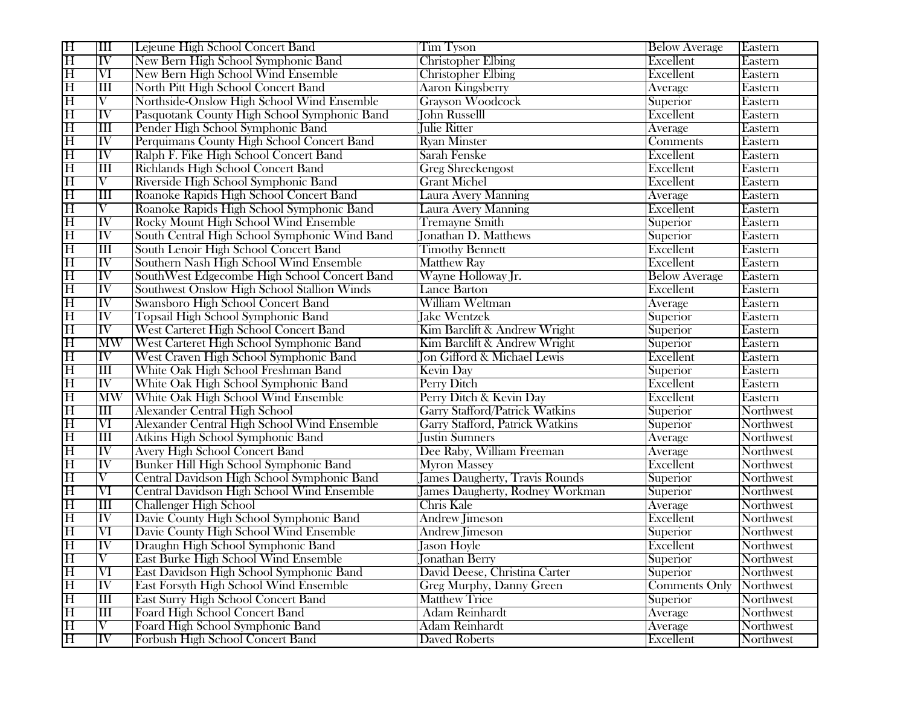| $\overline{\mathrm{H}}$ | $\overline{\mathbb{H}}$  | Lejeune High School Concert Band                  | <b>Tim Tyson</b>                       | <b>Below Average</b> | Eastern   |
|-------------------------|--------------------------|---------------------------------------------------|----------------------------------------|----------------------|-----------|
| $\overline{\mathrm{H}}$ | $\overline{\text{IV}}$   | New Bern High School Symphonic Band               | <b>Christopher Elbing</b>              | <b>Excellent</b>     | Eastern   |
| $\overline{\mathrm{H}}$ | $\overline{\text{VI}}$   | New Bern High School Wind Ensemble                | <b>Christopher Elbing</b>              | Excellent            | Eastern   |
| $\overline{\mathrm{H}}$ | $\overline{\rm III}$     | North Pitt High School Concert Band               | <b>Aaron Kingsberry</b>                | Average              | Eastern   |
| $\overline{\mathrm{H}}$ | $\overline{\rm{V}}$      | Northside-Onslow High School Wind Ensemble        | <b>Grayson Woodcock</b>                | Superior             | Eastern   |
| $\overline{\mathrm{H}}$ | $\overline{\mathrm{IV}}$ | Pasquotank County High School Symphonic Band      | <b>John Russelll</b>                   | Excellent            | Eastern   |
| $\overline{\mathrm{H}}$ | $\overline{\mathbf{H}}$  | Pender High School Symphonic Band                 | Julie Ritter                           | Average              | Eastern   |
| $\overline{\mathrm{H}}$ | $ \overline{\text{IV}} $ | Perquimans County High School Concert Band        | <b>Ryan Minster</b>                    | Comments             | Eastern   |
| $\overline{\mathrm{H}}$ | IV                       | Ralph F. Fike High School Concert Band            | Sarah Fenske                           | Excellent            | Eastern   |
| $\overline{\mathrm{H}}$ | $\overline{\mathbf{H}}$  | Richlands High School Concert Band                | <b>Greg Shreckengost</b>               | Excellent            | Eastern   |
| $\overline{\mathrm{H}}$ | $\overline{\rm V}$       | Riverside High School Symphonic Band              | <b>Grant Michel</b>                    | Excellent            | Eastern   |
| $\overline{\mathrm{H}}$ | III                      | Roanoke Rapids High School Concert Band           | Laura Avery Manning                    | Average              | Eastern   |
| $\overline{\mathrm{H}}$ | V                        | Roanoke Rapids High School Symphonic Band         | Laura Avery Manning                    | Excellent            | Eastern   |
| $\overline{\mathrm{H}}$ | IV                       | Rocky Mount High School Wind Ensemble             | <b>Tremayne Smith</b>                  | Superior             | Eastern   |
| $\overline{\mathrm{H}}$ | $\overline{\mathrm{IV}}$ | South Central High School Symphonic Wind Band     | Jonathan D. Matthews                   | Superior             | Eastern   |
| $\overline{\mathrm{H}}$ | $\overline{\rm III}$     | South Lenoir High School Concert Band             | <b>Timothy Bennett</b>                 | Excellent            | Eastern   |
| $\overline{\mathrm{H}}$ | IV                       | Southern Nash High School Wind Ensemble           | <b>Matthew Ray</b>                     | Excellent            | Eastern   |
| $\overline{\mathrm{H}}$ | $\overline{\text{IV}}$   | SouthWest Edgecombe High School Concert Band      | Wayne Holloway Jr.                     | <b>Below Average</b> | Eastern   |
| $\overline{\mathrm{H}}$ | $\overline{\text{IV}}$   | Southwest Onslow High School Stallion Winds       | <b>Lance Barton</b>                    | Excellent            | Eastern   |
| $\overline{\mathrm{H}}$ | IV                       | Swansboro High School Concert Band                | William Weltman                        | Average              | Eastern   |
| $\overline{\mathrm{H}}$ | IV                       | Topsail High School Symphonic Band                | <b>Jake Wentzek</b>                    | Superior             | Eastern   |
| $\overline{\mathrm{H}}$ | $\overline{\text{IV}}$   | West Carteret High School Concert Band            | Kim Barclift & Andrew Wright           | Superior             | Eastern   |
| $\overline{\mathrm{H}}$ | <b>MW</b>                | West Carteret High School Symphonic Band          | Kim Barclift & Andrew Wright           | Superior             | Eastern   |
| $\overline{\mathrm{H}}$ | $\overline{\text{IV}}$   | West Craven High School Symphonic Band            | <b>Jon Gifford &amp; Michael Lewis</b> | Excellent            | Eastern   |
| $\overline{\mathrm{H}}$ | $\overline{\mathbf{m}}$  | White Oak High School Freshman Band               | <b>Kevin Day</b>                       | Superior             | Eastern   |
| $\overline{\mathrm{H}}$ | IV                       | White Oak High School Symphonic Band              | Perry Ditch                            | Excellent            | Eastern   |
| $\overline{\mathrm{H}}$ | <b>MW</b>                | White Oak High School Wind Ensemble               | Perry Ditch & Kevin Day                | Excellent            | Eastern   |
| $\overline{\mathrm{H}}$ | $\overline{\mathbf{H}}$  | <b>Alexander Central High School</b>              | <b>Garry Stafford/Patrick Watkins</b>  | Superior             | Northwest |
| $\overline{\mathrm{H}}$ | VI                       | Alexander Central High School Wind Ensemble       | Garry Stafford, Patrick Watkins        | Superior             | Northwest |
| $\overline{\mathrm{H}}$ | $\overline{\mathbf{H}}$  | Atkins High School Symphonic Band                 | <b>Justin Sumners</b>                  | Average              | Northwest |
| $\overline{\mathrm{H}}$ | IV                       | <b>Avery High School Concert Band</b>             | Dee Raby, William Freeman              | Average              | Northwest |
| $\overline{\mathrm{H}}$ | IV                       | Bunker Hill High School Symphonic Band            | <b>Myron Massey</b>                    | Excellent            | Northwest |
| $\overline{\mathrm{H}}$ | $\overline{\mathrm{V}}$  | Central Davidson High School Symphonic Band       | <b>James Daugherty, Travis Rounds</b>  | Superior             | Northwest |
| $\overline{\mathrm{H}}$ | $\overline{\text{VI}}$   | <b>Central Davidson High School Wind Ensemble</b> | James Daugherty, Rodney Workman        | Superior             | Northwest |
| $\overline{\mathrm{H}}$ | $\overline{\mathbf{H}}$  | <b>Challenger High School</b>                     | <b>Chris Kale</b>                      | Average              | Northwest |
| $\overline{\mathrm{H}}$ | $\overline{\text{IV}}$   | Davie County High School Symphonic Band           | <b>Andrew Jimeson</b>                  | Excellent            | Northwest |
| $\overline{\mathrm{H}}$ | $\rm VI$                 | Davie County High School Wind Ensemble            | <b>Andrew Jimeson</b>                  | Superior             | Northwest |
| $\overline{\mathrm{H}}$ | IV                       | Draughn High School Symphonic Band                | <b>Jason Hoyle</b>                     | Excellent            | Northwest |
| H                       | IV                       | East Burke High School Wind Ensemble              | Jonathan Berry                         | Superior             | Northwest |
| $\overline{\mathrm{H}}$ | $\overline{\text{VI}}$   | East Davidson High School Symphonic Band          | David Deese, Christina Carter          | Superior             | Northwest |
| $\overline{\mathrm{H}}$ | IV                       | <b>East Forsyth High School Wind Ensemble</b>     | <b>Greg Murphy, Danny Green</b>        | <b>Comments Only</b> | Northwest |
| $\overline{\mathrm{H}}$ | $\overline{\mathbf{H}}$  | <b>East Surry High School Concert Band</b>        | <b>Matthew Trice</b>                   | Superior             | Northwest |
| $\overline{\mathrm{H}}$ | $\overline{\rm III}$     | Foard High School Concert Band                    | <b>Adam Reinhardt</b>                  | Average              | Northwest |
| $\overline{\mathrm{H}}$ | $\overline{\rm V}$       | Foard High School Symphonic Band                  | <b>Adam Reinhardt</b>                  | Average              | Northwest |
| $\overline{\mathrm{H}}$ | $\overline{\text{IV}}$   | Forbush High School Concert Band                  | <b>Daved Roberts</b>                   | Excellent            | Northwest |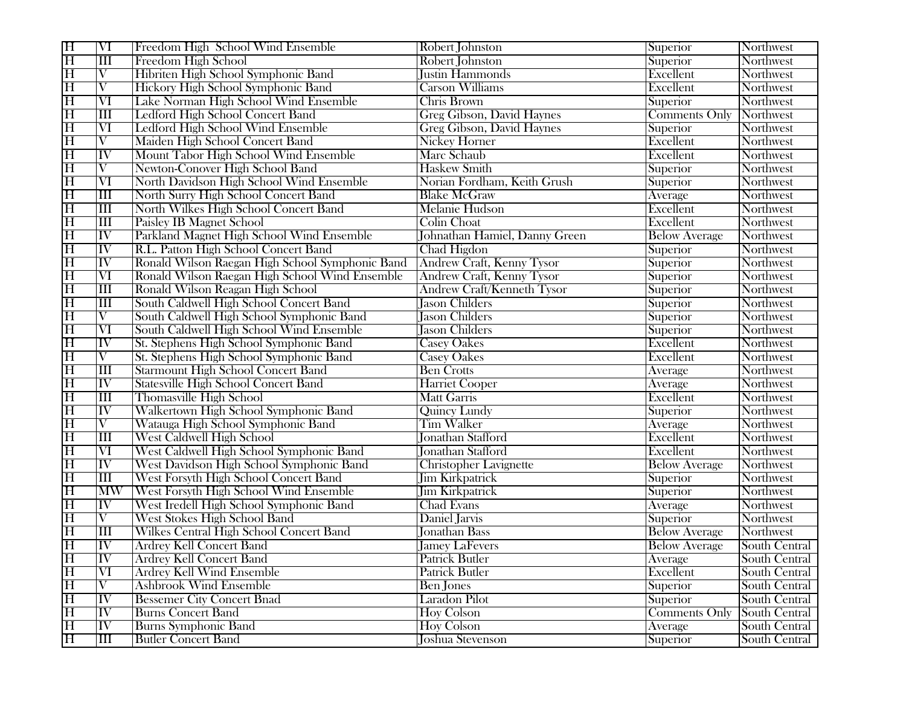| $\overline{\mathrm{H}}$ | $\overline{\text{VI}}$                                             | Freedom High School Wind Ensemble               | Robert Johnston                   | Superior             | Northwest     |
|-------------------------|--------------------------------------------------------------------|-------------------------------------------------|-----------------------------------|----------------------|---------------|
| $\overline{\rm H}$      | $\overline{\rm III}$                                               | Freedom High School                             | Robert Johnston                   | Superior             | Northwest     |
| $\overline{\mathrm{H}}$ | $\overline{\rm{V}}$                                                | Hibriten High School Symphonic Band             | Justin Hammonds                   | Excellent            | Northwest     |
| $\overline{\mathrm{H}}$ | $\rm V$                                                            | Hickory High School Symphonic Band              | <b>Carson Williams</b>            | Excellent            | Northwest     |
| $\overline{\mathrm{H}}$ | $\overline{\text{VI}}$                                             | Lake Norman High School Wind Ensemble           | Chris Brown                       | Superior             | Northwest     |
| $\overline{\mathrm{H}}$ | $\overline{\rm l}\overline{\rm l}\overline{\rm l}\overline{\rm l}$ | Ledford High School Concert Band                | Greg Gibson, David Haynes         | <b>Comments Only</b> | Northwest     |
| $\overline{\mathrm{H}}$ | $\overline{\text{VI}}$                                             | Ledford High School Wind Ensemble               | Greg Gibson, David Haynes         | Superior             | Northwest     |
| $\overline{\mathrm{H}}$ | $\overline{\rm{V}}$                                                | Maiden High School Concert Band                 | <b>Nickey Horner</b>              | Excellent            | Northwest     |
| $\overline{\rm H}$      | $\overline{\text{IV}}$                                             | Mount Tabor High School Wind Ensemble           | Marc Schaub                       | Excellent            | Northwest     |
| $\overline{\mathrm{H}}$ | $\overline{\rm{V}}$                                                | Newton-Conover High School Band                 | <b>Haskew Smith</b>               | Superior             | Northwest     |
| $\overline{\mathrm{H}}$ | $\overline{\text{VI}}$                                             | North Davidson High School Wind Ensemble        | Norian Fordham, Keith Grush       | Superior             | Northwest     |
| $\overline{\mathrm{H}}$ | Ш                                                                  | North Surry High School Concert Band            | <b>Blake McGraw</b>               | Average              | Northwest     |
| $\overline{\mathrm{H}}$ | $\overline{\rm III}$                                               | North Wilkes High School Concert Band           | <b>Melanie Hudson</b>             | Excellent            | Northwest     |
| $\overline{\rm H}$      | $\overline{\rm III}$                                               | <b>Paisley IB Magnet School</b>                 | <b>Colin Choat</b>                | Excellent            | Northwest     |
| $\overline{\mathrm{H}}$ | IV                                                                 | Parkland Magnet High School Wind Ensemble       | Johnathan Hamiel, Danny Green     | <b>Below Average</b> | Northwest     |
| $\overline{\mathrm{H}}$ | $\overline{\text{IV}}$                                             | R.L. Patton High School Concert Band            | Chad Higdon                       | Superior             | Northwest     |
| $\overline{\mathrm{H}}$ | $\overline{\text{IV}}$                                             | Ronald Wilson Raegan High School Symphonic Band | Andrew Craft, Kenny Tysor         | Superior             | Northwest     |
| $\overline{\mathrm{H}}$ | $\overline{\text{VI}}$                                             | Ronald Wilson Raegan High School Wind Ensemble  | <b>Andrew Craft, Kenny Tysor</b>  | Superior             | Northwest     |
| $\overline{\mathrm{H}}$ | $\overline{\mathbb{H}}$                                            | Ronald Wilson Reagan High School                | <b>Andrew Craft/Kenneth Tysor</b> | Superior             | Northwest     |
| $\overline{\mathrm{H}}$ | $\overline{\text{III}}$                                            | South Caldwell High School Concert Band         | <b>Jason Childers</b>             | Superior             | Northwest     |
| $\overline{\mathrm{H}}$ | $\overline{\rm V}$                                                 | South Caldwell High School Symphonic Band       | <b>Jason Childers</b>             | Superior             | Northwest     |
| $\overline{\mathrm{H}}$ | $\overline{\text{VI}}$                                             | South Caldwell High School Wind Ensemble        | <b>Jason Childers</b>             | Superior             | Northwest     |
| $\overline{\mathrm{H}}$ | $\overline{\text{IV}}$                                             | St. Stephens High School Symphonic Band         | <b>Casey Oakes</b>                | Excellent            | Northwest     |
| $\overline{\mathrm{H}}$ | $\overline{\mathrm{V}}$                                            | St. Stephens High School Symphonic Band         | <b>Casey Oakes</b>                | Excellent            | Northwest     |
| $\overline{\mathrm{H}}$ | $\overline{\rm lII}$                                               | <b>Starmount High School Concert Band</b>       | <b>Ben Crotts</b>                 | Average              | Northwest     |
| $\overline{\mathrm{H}}$ | ĪV                                                                 | <b>Statesville High School Concert Band</b>     | <b>Harriet Cooper</b>             | Average              | Northwest     |
| $\overline{\mathrm{H}}$ | $\overline{\rm III}$                                               | <b>Thomasville High School</b>                  | <b>Matt Garris</b>                | Excellent            | Northwest     |
| $\overline{\mathrm{H}}$ | $\overline{\text{IV}}$                                             | Walkertown High School Symphonic Band           | Quincy Lundy                      | Superior             | Northwest     |
| $\overline{\mathrm{H}}$ | $\overline{\rm{V}}$                                                | Watauga High School Symphonic Band              | <b>Tim Walker</b>                 | Average              | Northwest     |
| $\overline{\mathrm{H}}$ | $\overline{\rm l}\overline{\rm l}\overline{\rm l}\overline{\rm l}$ | <b>West Caldwell High School</b>                | Jonathan Stafford                 | Excellent            | Northwest     |
| $\overline{\mathrm{H}}$ | $\overline{\text{VI}}$                                             | West Caldwell High School Symphonic Band        | Jonathan Stafford                 | Excellent            | Northwest     |
| $\overline{\mathrm{H}}$ | ĪV                                                                 | West Davidson High School Symphonic Band        | <b>Christopher Lavignette</b>     | <b>Below Average</b> | Northwest     |
| $\overline{\mathrm{H}}$ | $\overline{\rm lII}$                                               | West Forsyth High School Concert Band           | <b>Jim Kirkpatrick</b>            | Superior             | Northwest     |
| $\overline{\mathrm{H}}$ | <b>MW</b>                                                          | West Forsyth High School Wind Ensemble          | <b>Jim Kirkpatrick</b>            | Superior             | Northwest     |
| $\overline{\mathrm{H}}$ | $ \overline{\rm IV} $                                              | West Iredell High School Symphonic Band         | Chad Evans                        | Average              | Northwest     |
| $\overline{\mathrm{H}}$ | $\overline{\rm V}$                                                 | West Stokes High School Band                    | Daniel Jarvis                     | Superior             | Northwest     |
| $\overline{\mathrm{H}}$ | $\mathbf{I}$                                                       | Wilkes Central High School Concert Band         | Jonathan Bass                     | <b>Below Average</b> | Northwest     |
| $\overline{\mathrm{H}}$ | $\overline{\text{IV}}$                                             | <b>Ardrey Kell Concert Band</b>                 | <b>Jamey LaFevers</b>             | <b>Below Average</b> | South Central |
| $\overline{\mathrm{H}}$ | ПV                                                                 | Ardrey Kell Concert Band                        | Patrick Butler                    | Average              | South Central |
| $\overline{\mathrm{H}}$ | VI                                                                 | Ardrey Kell Wind Ensemble                       | Patrick Butler                    | Excellent            | South Central |
| $\overline{\mathrm{H}}$ | V                                                                  | <b>Ashbrook Wind Ensemble</b>                   | <b>Ben Jones</b>                  | Superior             | South Central |
| $\overline{\mathrm{H}}$ | $\overline{\text{IV}}$                                             | <b>Bessemer City Concert Bnad</b>               | Laradon Pilot                     | Superior             | South Central |
| $\overline{\mathrm{H}}$ | ĪV                                                                 | <b>Burns Concert Band</b>                       | <b>Hoy Colson</b>                 | <b>Comments Only</b> | South Central |
| $\overline{\mathrm{H}}$ | $\overline{\text{IV}}$                                             | <b>Burns Symphonic Band</b>                     | Hoy Colson                        | Average              | South Central |
| $\overline{\mathrm{H}}$ | $\overline{\mathbb{H}}$                                            | <b>Butler Concert Band</b>                      | <b>Joshua Stevenson</b>           | Superior             | South Central |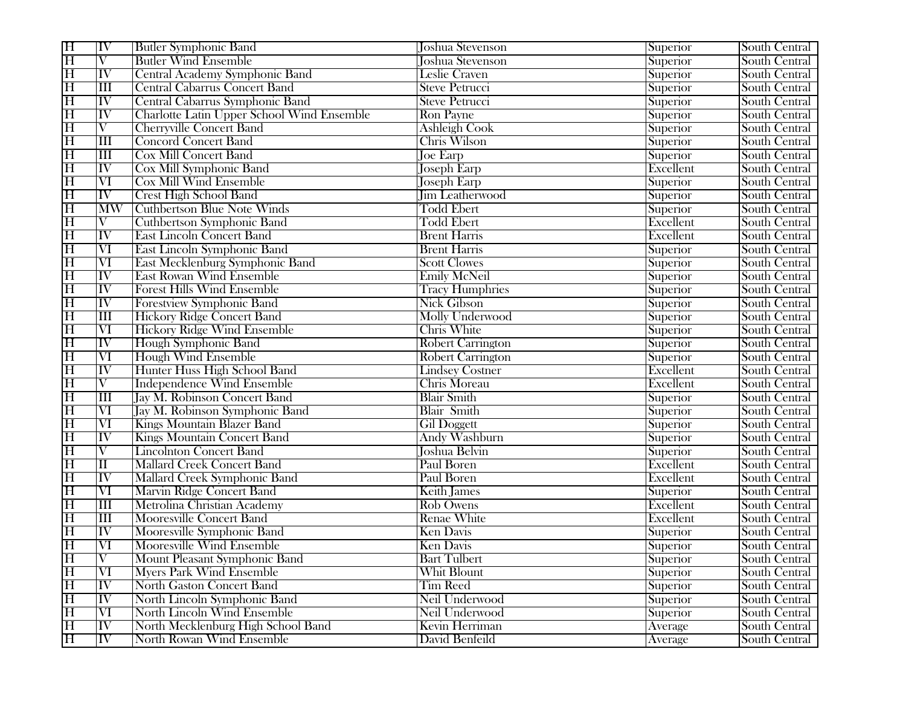| H                       | IV                       | Butler Symphonic Band                      | Joshua Stevenson         | Superior  | South Central        |
|-------------------------|--------------------------|--------------------------------------------|--------------------------|-----------|----------------------|
| $\overline{\mathrm{H}}$ | $\overline{\rm{V}}$      | <b>Butler Wind Ensemble</b>                | <b>Joshua Stevenson</b>  | Superior  | South Central        |
| $\overline{\mathrm{H}}$ | $\overline{\rm IV}$      | Central Academy Symphonic Band             | <b>Leslie Craven</b>     | Superior  | South Central        |
| $\overline{\mathrm{H}}$ | Ш                        | <b>Central Cabarrus Concert Band</b>       | <b>Steve Petrucci</b>    | Superior  | South Central        |
| $\overline{\mathrm{H}}$ | $ \overline{\text{IV}} $ | Central Cabarrus Symphonic Band            | <b>Steve Petrucci</b>    | Superior  | South Central        |
| $\overline{\mathrm{H}}$ | $\overline{\text{IV}}$   | Charlotte Latin Upper School Wind Ensemble | <b>Ron Payne</b>         | Superior  | South Central        |
| $\overline{\mathrm{H}}$ | $\overline{\rm V}$       | <b>Cherryville Concert Band</b>            | <b>Ashleigh Cook</b>     | Superior  | South Central        |
| $\overline{\mathrm{H}}$ | $\overline{\rm lII}$     | <b>Concord Concert Band</b>                | <b>Chris Wilson</b>      | Superior  | South Central        |
| $\overline{\mathrm{H}}$ | $\overline{\mathbf{H}}$  | <b>Cox Mill Concert Band</b>               | <b>Joe Earp</b>          | Superior  | South Central        |
| $\overline{\mathrm{H}}$ | $ \overline{\rm IV} $    | Cox Mill Symphonic Band                    | <b>Joseph Earp</b>       | Excellent | <b>South Central</b> |
| $\overline{\mathrm{H}}$ | $\overline{\text{VI}}$   | <b>Cox Mill Wind Ensemble</b>              | <b>Joseph Earp</b>       | Superior  | South Central        |
| $\overline{\mathrm{H}}$ | IV                       | <b>Crest High School Band</b>              | <b>Jim Leatherwood</b>   | Superior  | South Central        |
| $\overline{\mathrm{H}}$ | $\overline{\text{MW}}$   | <b>Cuthbertson Blue Note Winds</b>         | <b>Todd Ebert</b>        | Superior  | South Central        |
| $\overline{\mathrm{H}}$ | V                        | <b>Cuthbertson Symphonic Band</b>          | <b>Todd Ebert</b>        | Excellent | South Central        |
| $\overline{\mathrm{H}}$ | $\overline{\text{IV}}$   | <b>East Lincoln Concert Band</b>           | <b>Brent Harris</b>      | Excellent | South Central        |
| $\overline{\mathrm{H}}$ | $\overline{\text{VI}}$   | East Lincoln Symphonic Band                | <b>Brent Harris</b>      | Superior  | South Central        |
| $\overline{\mathrm{H}}$ | $\overline{\text{VI}}$   | East Mecklenburg Symphonic Band            | <b>Scott Clowes</b>      | Superior  | South Central        |
| $\overline{\mathrm{H}}$ | $\overline{\text{IV}}$   | <b>East Rowan Wind Ensemble</b>            | <b>Emily McNeil</b>      | Superior  | South Central        |
| $\overline{\mathrm{H}}$ | $\overline{\text{IV}}$   | <b>Forest Hills Wind Ensemble</b>          | <b>Tracy Humphries</b>   | Superior  | South Central        |
| $\overline{\rm H}$      | $ \mathrm{IV} $          | Forestview Symphonic Band                  | <b>Nick Gibson</b>       | Superior  | South Central        |
| $\overline{\mathrm{H}}$ | Ш                        | <b>Hickory Ridge Concert Band</b>          | <b>Molly Underwood</b>   | Superior  | <b>South Central</b> |
| $\overline{\mathrm{H}}$ | $\overline{\text{VI}}$   | <b>Hickory Ridge Wind Ensemble</b>         | <b>Chris White</b>       | Superior  | South Central        |
| $\overline{\mathrm{H}}$ | $ \mathrm{IV} $          | Hough Symphonic Band                       | <b>Robert Carrington</b> | Superior  | South Central        |
| $\overline{\mathrm{H}}$ | $\overline{\text{VI}}$   | <b>Hough Wind Ensemble</b>                 | <b>Robert Carrington</b> | Superior  | South Central        |
| $\overline{\mathrm{H}}$ | $\overline{\text{IV}}$   | Hunter Huss High School Band               | <b>Lindsey Costner</b>   | Excellent | South Central        |
| $\overline{\mathrm{H}}$ | $\rm V$                  | <b>Independence Wind Ensemble</b>          | Chris Moreau             | Excellent | South Central        |
| $\overline{\mathrm{H}}$ | $\overline{\rm III}$     | <b>Jay M. Robinson Concert Band</b>        | <b>Blair Smith</b>       | Superior  | South Central        |
| $\overline{\mathrm{H}}$ | $\overline{\text{VI}}$   | Jay M. Robinson Symphonic Band             | <b>Blair Smith</b>       | Superior  | South Central        |
| $\overline{\mathrm{H}}$ | VI                       | Kings Mountain Blazer Band                 | <b>Gil Doggett</b>       | Superior  | South Central        |
| $\overline{\mathrm{H}}$ | $\overline{\text{IV}}$   | <b>Kings Mountain Concert Band</b>         | <b>Andy Washburn</b>     | Superior  | South Central        |
| $\overline{\mathrm{H}}$ | $\overline{\rm{V}}$      | <b>Lincolnton Concert Band</b>             | Joshua Belvin            | Superior  | South Central        |
| $\overline{\mathrm{H}}$ | $\overline{\rm II}$      | Mallard Creek Concert Band                 | Paul Boren               | Excellent | South Central        |
| $\overline{\mathrm{H}}$ | $\overline{\text{IV}}$   | Mallard Creek Symphonic Band               | Paul Boren               | Excellent | South Central        |
| $\overline{\mathrm{H}}$ | $\overline{\text{VI}}$   | <b>Marvin Ridge Concert Band</b>           | Keith James              | Superior  | South Central        |
| $\overline{\mathrm{H}}$ | Ш                        | Metrolina Christian Academy                | <b>Rob Owens</b>         | Excellent | South Central        |
| $\overline{\mathrm{H}}$ | $\overline{\rm lII}$     | <b>Mooresville Concert Band</b>            | <b>Renae White</b>       | Excellent | South Central        |
| $\overline{\mathrm{H}}$ | IV                       | Mooresville Symphonic Band                 | <b>Ken Davis</b>         | Superior  | South Central        |
| $\overline{\mathrm{H}}$ | $\overline{\text{VI}}$   | <b>Mooresville Wind Ensemble</b>           | <b>Ken Davis</b>         | Superior  | South Central        |
| $\overline{\rm H}$      | V                        | Mount Pleasant Symphonic Band              | Bart Tulbert             | Superior  | South Central        |
| $\overline{\rm H}$      | $\rm\overline{VI}$       | <b>Myers Park Wind Ensemble</b>            | Whit Blount              | Superior  | South Central        |
| $\overline{\mathrm{H}}$ | $\overline{\text{IV}}$   | <b>North Gaston Concert Band</b>           | <b>Tim Reed</b>          | Superior  | South Central        |
| $\overline{\mathrm{H}}$ | $\overline{\text{IV}}$   | North Lincoln Symphonic Band               | Neil Underwood           | Superior  | South Central        |
| $\overline{\mathrm{H}}$ | $\overline{\text{VI}}$   | North Lincoln Wind Ensemble                | Neil Underwood           | Superior  | South Central        |
| $\overline{\mathrm{H}}$ | $\overline{\text{IV}}$   | North Mecklenburg High School Band         | Kevin Herriman           | Average   | South Central        |
| $\overline{\mathrm{H}}$ | $\overline{\text{IV}}$   | North Rowan Wind Ensemble                  | David Benfeild           | Average   | South Central        |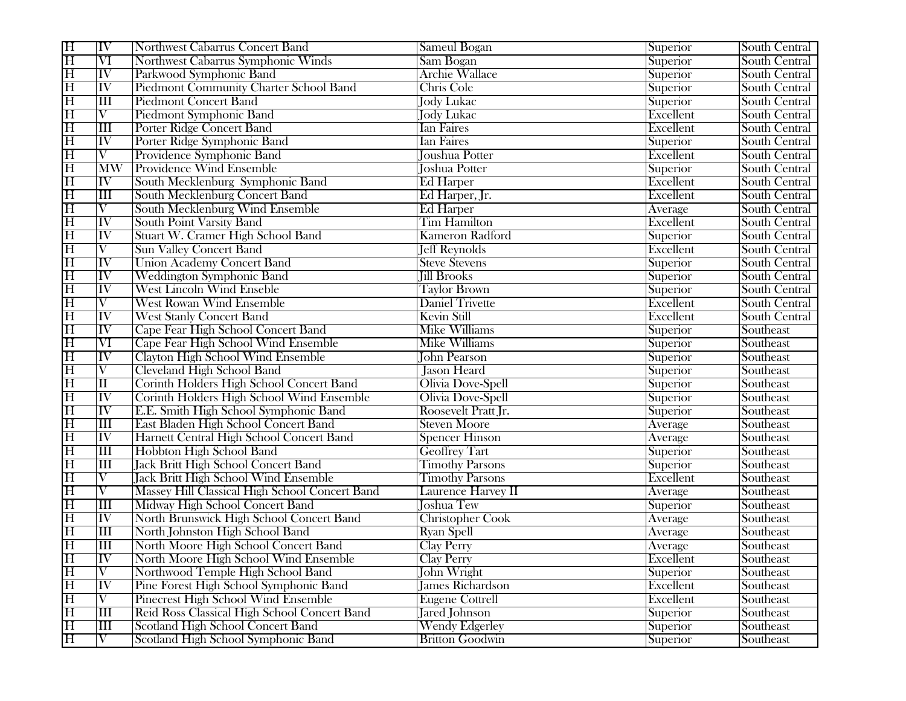| H                       | ΙV                       | Northwest Cabarrus Concert Band                | Sameul Bogan             | Superior  | South Central |
|-------------------------|--------------------------|------------------------------------------------|--------------------------|-----------|---------------|
| $\overline{\rm H}$      | $\overline{\text{VI}}$   | Northwest Cabarrus Symphonic Winds             | Sam Bogan                | Superior  | South Central |
| $\overline{\mathrm{H}}$ | $\overline{\rm IV}$      | Parkwood Symphonic Band                        | <b>Archie Wallace</b>    | Superior  | South Central |
| $\overline{\mathrm{H}}$ | ĪV                       | Piedmont Community Charter School Band         | Chris Cole               | Superior  | South Central |
| $\overline{\mathrm{H}}$ | $\overline{\text{III}}$  | <b>Piedmont Concert Band</b>                   | <b>Jody Lukac</b>        | Superior  | South Central |
| $\overline{\mathrm{H}}$ | $\overline{\rm{V}}$      | <b>Piedmont Symphonic Band</b>                 | Jody Lukac               | Excellent | South Central |
| $\overline{\mathrm{H}}$ | Ш                        | <b>Porter Ridge Concert Band</b>               | <b>Ian Faires</b>        | Excellent | South Central |
| $\overline{\mathrm{H}}$ | $\overline{\rm{IV}}$     | Porter Ridge Symphonic Band                    | <b>Ian Faires</b>        | Superior  | South Central |
| $\overline{\rm H}$      | $\overline{\rm V}$       | Providence Symphonic Band                      | Joushua Potter           | Excellent | South Central |
| $\overline{\mathrm{H}}$ | $\overline{\text{MW}}$   | <b>Providence Wind Ensemble</b>                | <b>Joshua Potter</b>     | Superior  | South Central |
| $\overline{\mathrm{H}}$ | $\overline{\rm{IV}}$     | South Mecklenburg Symphonic Band               | Ed Harper                | Excellent | South Central |
| $\overline{\mathrm{H}}$ | Ш                        | South Mecklenburg Concert Band                 | Ed Harper, Jr.           | Excellent | South Central |
| $\overline{\mathrm{H}}$ | $\overline{\rm{V}}$      | South Mecklenburg Wind Ensemble                | <b>Ed Harper</b>         | Average   | South Central |
| $\overline{\mathrm{H}}$ | $\overline{\text{IV}}$   | <b>South Point Varsity Band</b>                | <b>Tim Hamilton</b>      | Excellent | South Central |
| $\overline{\mathrm{H}}$ | IV                       | Stuart W. Cramer High School Band              | <b>Kameron Radford</b>   | Superior  | South Central |
| $\overline{\mathrm{H}}$ | $\overline{\rm{V}}$      | <b>Sun Valley Concert Band</b>                 | <b>Jeff Reynolds</b>     | Excellent | South Central |
| $\overline{\mathrm{H}}$ | $\overline{\text{IV}}$   | <b>Union Academy Concert Band</b>              | <b>Steve Stevens</b>     | Superior  | South Central |
| $\overline{\mathrm{H}}$ | $\overline{\text{IV}}$   | <b>Weddington Symphonic Band</b>               | <b>Jill Brooks</b>       | Superior  | South Central |
| $\overline{\mathrm{H}}$ | $\overline{\text{IV}}$   | <b>West Lincoln Wind Enseble</b>               | <b>Taylor Brown</b>      | Superior  | South Central |
| $\overline{\mathrm{H}}$ | $\overline{\rm{V}}$      | <b>West Rowan Wind Ensemble</b>                | <b>Daniel Trivette</b>   | Excellent | South Central |
| $\overline{\mathrm{H}}$ | $ \mathrm{IV} $          | <b>West Stanly Concert Band</b>                | <b>Kevin Still</b>       | Excellent | South Central |
| $\overline{\mathrm{H}}$ | $\overline{\text{IV}}$   | Cape Fear High School Concert Band             | <b>Mike Williams</b>     | Superior  | Southeast     |
| $\overline{\mathrm{H}}$ | $\overline{\text{VI}}$   | Cape Fear High School Wind Ensemble            | <b>Mike Williams</b>     | Superior  | Southeast     |
| $\overline{\mathrm{H}}$ | $ \overline{\text{IV}} $ | Clayton High School Wind Ensemble              | <b>John Pearson</b>      | Superior  | Southeast     |
| $\overline{\mathrm{H}}$ | $\overline{\rm{V}}$      | Cleveland High School Band                     | <b>Jason Heard</b>       | Superior  | Southeast     |
| $\overline{\mathrm{H}}$ | $\overline{\rm II}$      | Corinth Holders High School Concert Band       | Olivia Dove-Spell        | Superior  | Southeast     |
| $\overline{\mathrm{H}}$ | $\overline{\text{IV}}$   | Corinth Holders High School Wind Ensemble      | <b>Olivia Dove-Spell</b> | Superior  | Southeast     |
| $\overline{\mathrm{H}}$ | $\overline{\text{IV}}$   | E.E. Smith High School Symphonic Band          | Roosevelt Pratt Jr.      | Superior  | Southeast     |
| $\overline{\mathrm{H}}$ | Ш                        | East Bladen High School Concert Band           | <b>Steven Moore</b>      | Average   | Southeast     |
| $\overline{\mathrm{H}}$ | $\overline{\text{IV}}$   | Harnett Central High School Concert Band       | <b>Spencer Hinson</b>    | Average   | Southeast     |
| $\overline{\rm H}$      | $\overline{\mathbf{H}}$  | Hobbton High School Band                       | <b>Geoffrey Tart</b>     | Superior  | Southeast     |
| $\overline{\mathrm{H}}$ | Ш                        | <b>Jack Britt High School Concert Band</b>     | <b>Timothy Parsons</b>   | Superior  | Southeast     |
| $\overline{\mathrm{H}}$ | $\overline{\rm{V}}$      | <b>Jack Britt High School Wind Ensemble</b>    | <b>Timothy Parsons</b>   | Excellent | Southeast     |
| $\overline{\mathrm{H}}$ | $\overline{\rm{V}}$      | Massey Hill Classical High School Concert Band | Laurence Harvey II       | Average   | Southeast     |
| $\overline{\mathrm{H}}$ | Ш                        | Midway High School Concert Band                | Joshua Tew               | Superior  | Southeast     |
| $\overline{\mathrm{H}}$ | $\overline{\rm{IV}}$     | North Brunswick High School Concert Band       | <b>Christopher Cook</b>  | Average   | Southeast     |
| $\overline{\mathrm{H}}$ | $\overline{\rm III}$     | North Johnston High School Band                | <b>Ryan Spell</b>        | Average   | Southeast     |
| $\overline{\mathrm{H}}$ | $\overline{\rm III}$     | North Moore High School Concert Band           | <b>Clay Perry</b>        | Average   | Southeast     |
| $\overline{\mathrm{H}}$ | ПV                       | North Moore High School Wind Ensemble          | <b>Clay Perry</b>        | Excellent | Southeast     |
| $\overline{\mathrm{H}}$ | V                        | Northwood Temple High School Band              | <b>John Wright</b>       | Superior  | Southeast     |
| $\overline{\mathrm{H}}$ | $\overline{\text{IV}}$   | Pine Forest High School Symphonic Band         | James Richardson         | Excellent | Southeast     |
| $\overline{\mathrm{H}}$ | $\overline{\rm{V}}$      | Pinecrest High School Wind Ensemble            | <b>Eugene Cottrell</b>   | Excellent | Southeast     |
| $\overline{\mathrm{H}}$ | $\overline{\mathbf{m}}$  | Reid Ross Classical High School Concert Band   | Jared Johnson            | Superior  | Southeast     |
| $\overline{\mathrm{H}}$ | $\overline{\mathbb{H}}$  | Scotland High School Concert Band              | <b>Wendy Edgerley</b>    | Superior  | Southeast     |
| $\overline{\mathrm{H}}$ | $\overline{\rm{V}}$      | Scotland High School Symphonic Band            | <b>Britton Goodwin</b>   | Superior  | Southeast     |